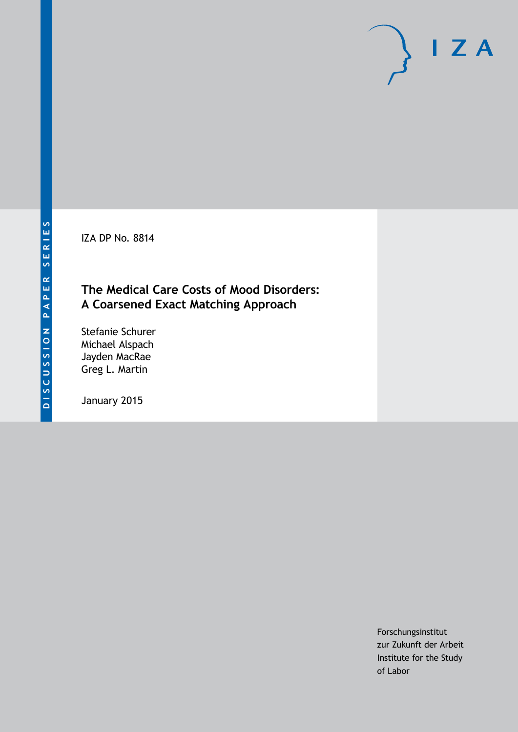IZA DP No. 8814

### **The Medical Care Costs of Mood Disorders: A Coarsened Exact Matching Approach**

Stefanie Schurer Michael Alspach Jayden MacRae Greg L. Martin

January 2015

Forschungsinstitut zur Zukunft der Arbeit Institute for the Study of Labor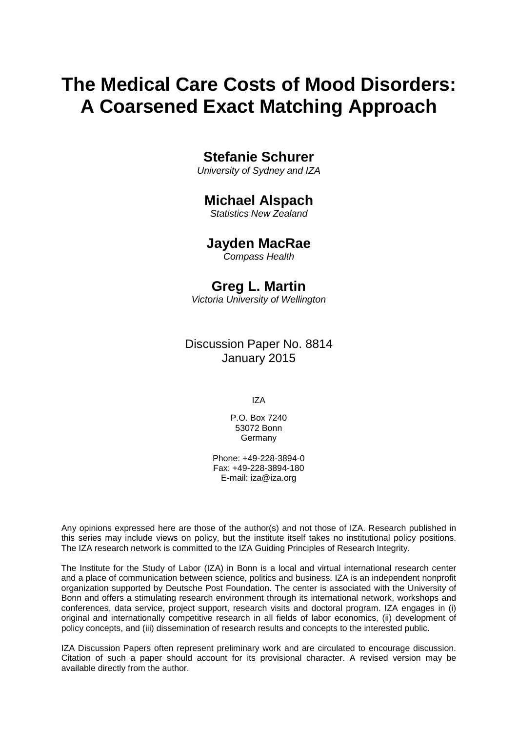# **The Medical Care Costs of Mood Disorders: A Coarsened Exact Matching Approach**

### **Stefanie Schurer**

*University of Sydney and IZA*

### **Michael Alspach**

*Statistics New Zealand*

### **Jayden MacRae**

*Compass Health*

### **Greg L. Martin**

*Victoria University of Wellington*

### Discussion Paper No. 8814 January 2015

IZA

P.O. Box 7240 53072 Bonn Germany

Phone: +49-228-3894-0 Fax: +49-228-3894-180 E-mail: [iza@iza.org](mailto:iza@iza.org)

Any opinions expressed here are those of the author(s) and not those of IZA. Research published in this series may include views on policy, but the institute itself takes no institutional policy positions. The IZA research network is committed to the IZA Guiding Principles of Research Integrity.

The Institute for the Study of Labor (IZA) in Bonn is a local and virtual international research center and a place of communication between science, politics and business. IZA is an independent nonprofit organization supported by Deutsche Post Foundation. The center is associated with the University of Bonn and offers a stimulating research environment through its international network, workshops and conferences, data service, project support, research visits and doctoral program. IZA engages in (i) original and internationally competitive research in all fields of labor economics, (ii) development of policy concepts, and (iii) dissemination of research results and concepts to the interested public.

<span id="page-1-0"></span>IZA Discussion Papers often represent preliminary work and are circulated to encourage discussion. Citation of such a paper should account for its provisional character. A revised version may be available directly from the author.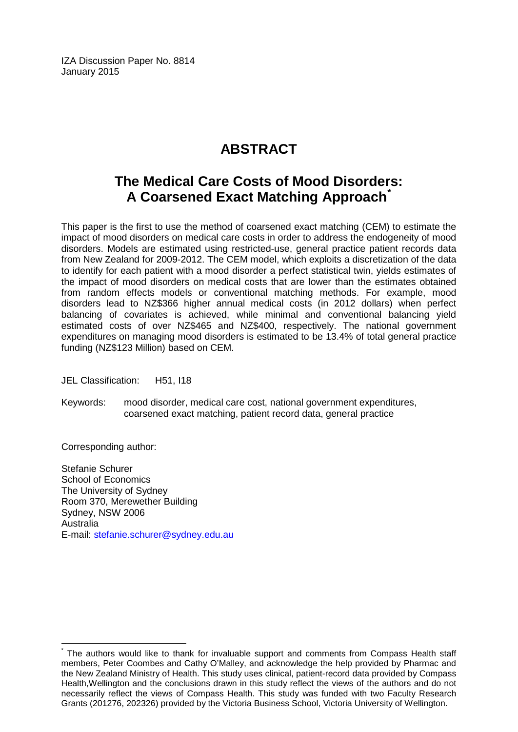IZA Discussion Paper No. 8814 January 2015

# **ABSTRACT**

## **The Medical Care Costs of Mood Disorders: A Coarsened Exact Matching Approach[\\*](#page-1-0)**

This paper is the first to use the method of coarsened exact matching (CEM) to estimate the impact of mood disorders on medical care costs in order to address the endogeneity of mood disorders. Models are estimated using restricted-use, general practice patient records data from New Zealand for 2009-2012. The CEM model, which exploits a discretization of the data to identify for each patient with a mood disorder a perfect statistical twin, yields estimates of the impact of mood disorders on medical costs that are lower than the estimates obtained from random effects models or conventional matching methods. For example, mood disorders lead to NZ\$366 higher annual medical costs (in 2012 dollars) when perfect balancing of covariates is achieved, while minimal and conventional balancing yield estimated costs of over NZ\$465 and NZ\$400, respectively. The national government expenditures on managing mood disorders is estimated to be 13.4% of total general practice funding (NZ\$123 Million) based on CEM.

JEL Classification: H51, I18

Keywords: mood disorder, medical care cost, national government expenditures, coarsened exact matching, patient record data, general practice

Corresponding author:

Stefanie Schurer School of Economics The University of Sydney Room 370, Merewether Building Sydney, NSW 2006 Australia E-mail: [stefanie.schurer@sydney.edu.au](mailto:stefanie.schurer@sydney.edu.au)

The authors would like to thank for invaluable support and comments from Compass Health staff members, Peter Coombes and Cathy O'Malley, and acknowledge the help provided by Pharmac and the New Zealand Ministry of Health. This study uses clinical, patient-record data provided by Compass Health,Wellington and the conclusions drawn in this study reflect the views of the authors and do not necessarily reflect the views of Compass Health. This study was funded with two Faculty Research Grants (201276, 202326) provided by the Victoria Business School, Victoria University of Wellington.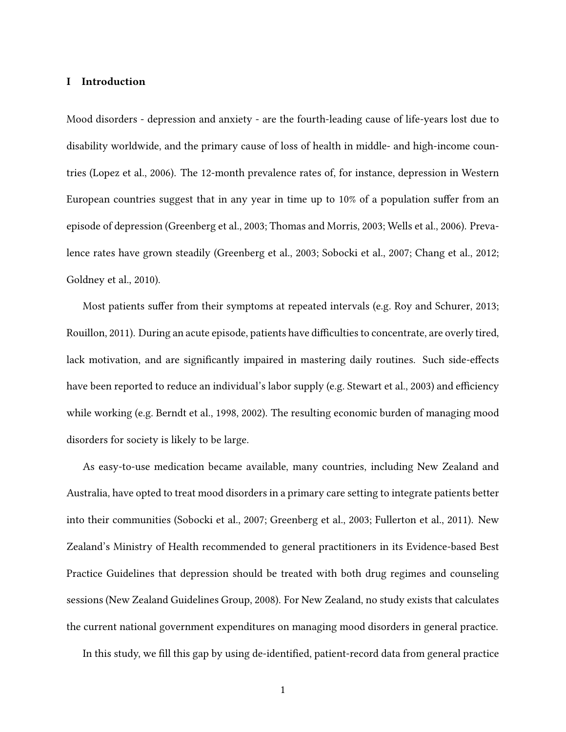#### **I Introduction**

Mood disorders - depression and anxiety - are the fourth-leading cause of life-years lost due to disability worldwide, and the primary cause of loss of health in middle- and high-income countries (Lopez et al., 2006). The 12-month prevalence rates of, for instance, depression in Western European countries suggest that in any year in time up to 10% of a population suffer from an episode of depression (Greenberg et al., 2003; Thomas and Morris, 2003; Wells et al., 2006). Prevalence rates have grown steadily (Greenberg et al., 2003; Sobocki et al., 2007; Chang et al., 2012; Goldney et al., 2010).

Most patients suffer from their symptoms at repeated intervals (e.g. Roy and Schurer, 2013; Rouillon, 2011). During an acute episode, patients have difficulties to concentrate, are overly tired, lack motivation, and are significantly impaired in mastering daily routines. Such side-effects have been reported to reduce an individual's labor supply (e.g. Stewart et al., 2003) and efficiency while working (e.g. Berndt et al., 1998, 2002). The resulting economic burden of managing mood disorders for society is likely to be large.

As easy-to-use medication became available, many countries, including New Zealand and Australia, have opted to treat mood disorders in a primary care setting to integrate patients better into their communities (Sobocki et al., 2007; Greenberg et al., 2003; Fullerton et al., 2011). New Zealand's Ministry of Health recommended to general practitioners in its Evidence-based Best Practice Guidelines that depression should be treated with both drug regimes and counseling sessions (New Zealand Guidelines Group, 2008). For New Zealand, no study exists that calculates the current national government expenditures on managing mood disorders in general practice.

In this study, we fill this gap by using de-identified, patient-record data from general practice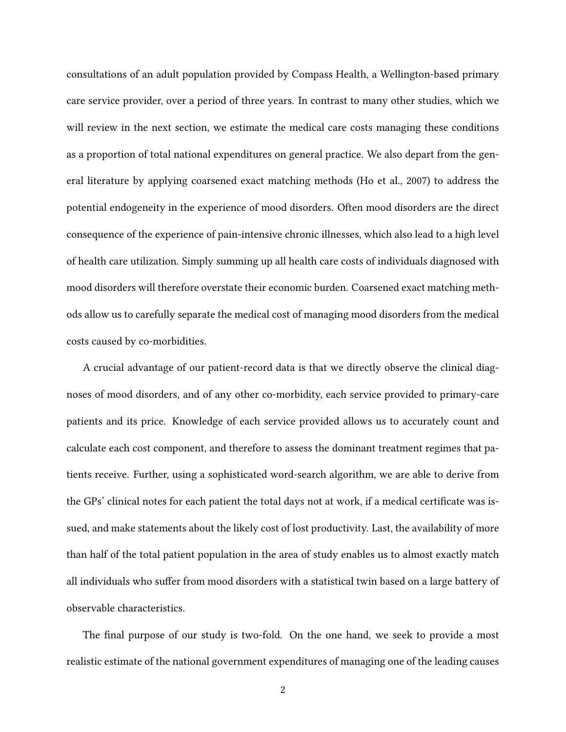consultations of an adult population provided by Compass Health, a Wellington-based primary care service provider, over a period of three years. In contrast to many other studies, which we will review in the next section, we estimate the medical care costs managing these conditions as a proportion of total national expenditures on general practice. We also depart from the general literature by applying coarsened exact matching methods (Ho et al., 2007) to address the potential endogeneity in the experience of mood disorders. Often mood disorders are the direct consequence of the experience of pain-intensive chronic illnesses, which also lead to a high level of health care utilization. Simply summing up all health care costs of individuals diagnosed with mood disorders will therefore overstate their economic burden. Coarsened exact matching methods allow us to carefully separate the medical cost of managing mood disorders from the medical costs caused by co-morbidities.

A crucial advantage of our patient-record data is that we directly observe the clinical diagnoses of mood disorders, and of any other co-morbidity, each service provided to primary-care patients and its price. Knowledge of each service provided allows us to accurately count and calculate each cost component, and therefore to assess the dominant treatment regimes that patients receive. Further, using a sophisticated word-search algorithm, we are able to derive from the GPs' clinical notes for each patient the total days not at work, if a medical certificate was issued, and make statements about the likely cost of lost productivity. Last, the availability of more than half of the total patient population in the area of study enables us to almost exactly match all individuals who suffer from mood disorders with a statistical twin based on a large battery of observable characteristics.

The final purpose of our study is two-fold. On the one hand, we seek to provide a most realistic estimate of the national government expenditures of managing one of the leading causes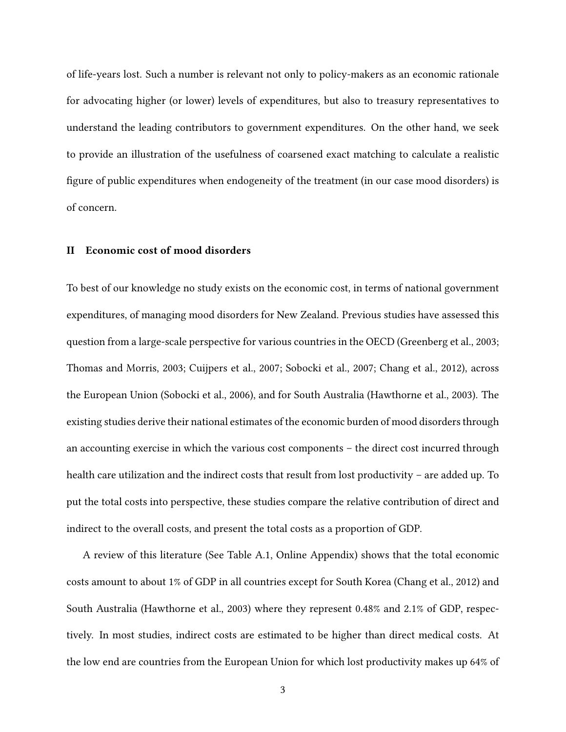of life-years lost. Such a number is relevant not only to policy-makers as an economic rationale for advocating higher (or lower) levels of expenditures, but also to treasury representatives to understand the leading contributors to government expenditures. On the other hand, we seek to provide an illustration of the usefulness of coarsened exact matching to calculate a realistic figure of public expenditures when endogeneity of the treatment (in our case mood disorders) is of concern.

#### **II Economic cost of mood disorders**

To best of our knowledge no study exists on the economic cost, in terms of national government expenditures, of managing mood disorders for New Zealand. Previous studies have assessed this question from a large-scale perspective for various countries in the OECD (Greenberg et al., 2003; Thomas and Morris, 2003; Cuijpers et al., 2007; Sobocki et al., 2007; Chang et al., 2012), across the European Union (Sobocki et al., 2006), and for South Australia (Hawthorne et al., 2003). The existing studies derive their national estimates of the economic burden of mood disorders through an accounting exercise in which the various cost components – the direct cost incurred through health care utilization and the indirect costs that result from lost productivity – are added up. To put the total costs into perspective, these studies compare the relative contribution of direct and indirect to the overall costs, and present the total costs as a proportion of GDP.

A review of this literature (See Table A.1, Online Appendix) shows that the total economic costs amount to about 1% of GDP in all countries except for South Korea (Chang et al., 2012) and South Australia (Hawthorne et al., 2003) where they represent 0.48% and 2.1% of GDP, respectively. In most studies, indirect costs are estimated to be higher than direct medical costs. At the low end are countries from the European Union for which lost productivity makes up 64% of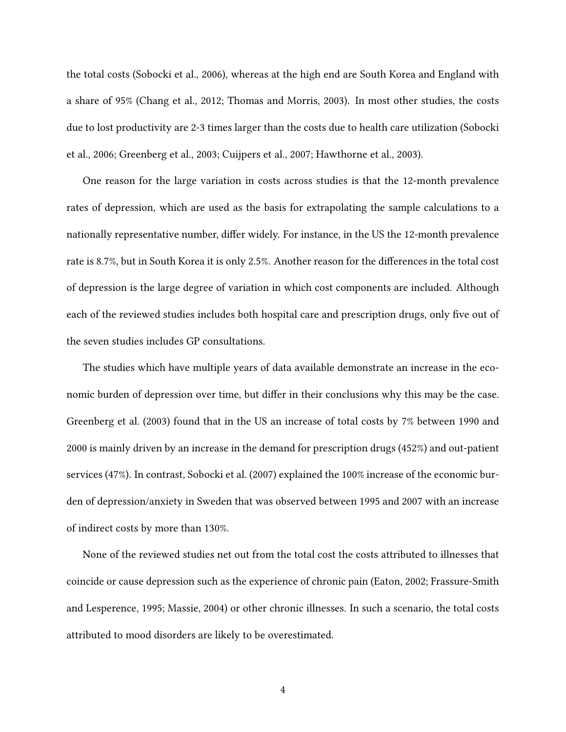the total costs (Sobocki et al., 2006), whereas at the high end are South Korea and England with a share of 95% (Chang et al., 2012; Thomas and Morris, 2003). In most other studies, the costs due to lost productivity are 2-3 times larger than the costs due to health care utilization (Sobocki et al., 2006; Greenberg et al., 2003; Cuijpers et al., 2007; Hawthorne et al., 2003).

One reason for the large variation in costs across studies is that the 12-month prevalence rates of depression, which are used as the basis for extrapolating the sample calculations to a nationally representative number, differ widely. For instance, in the US the 12-month prevalence rate is 8.7%, but in South Korea it is only 2.5%. Another reason for the differences in the total cost of depression is the large degree of variation in which cost components are included. Although each of the reviewed studies includes both hospital care and prescription drugs, only five out of the seven studies includes GP consultations.

The studies which have multiple years of data available demonstrate an increase in the economic burden of depression over time, but differ in their conclusions why this may be the case. Greenberg et al. (2003) found that in the US an increase of total costs by 7% between 1990 and 2000 is mainly driven by an increase in the demand for prescription drugs (452%) and out-patient services (47%). In contrast, Sobocki et al. (2007) explained the 100% increase of the economic burden of depression/anxiety in Sweden that was observed between 1995 and 2007 with an increase of indirect costs by more than 130%.

None of the reviewed studies net out from the total cost the costs attributed to illnesses that coincide or cause depression such as the experience of chronic pain (Eaton, 2002; Frassure-Smith and Lesperence, 1995; Massie, 2004) or other chronic illnesses. In such a scenario, the total costs attributed to mood disorders are likely to be overestimated.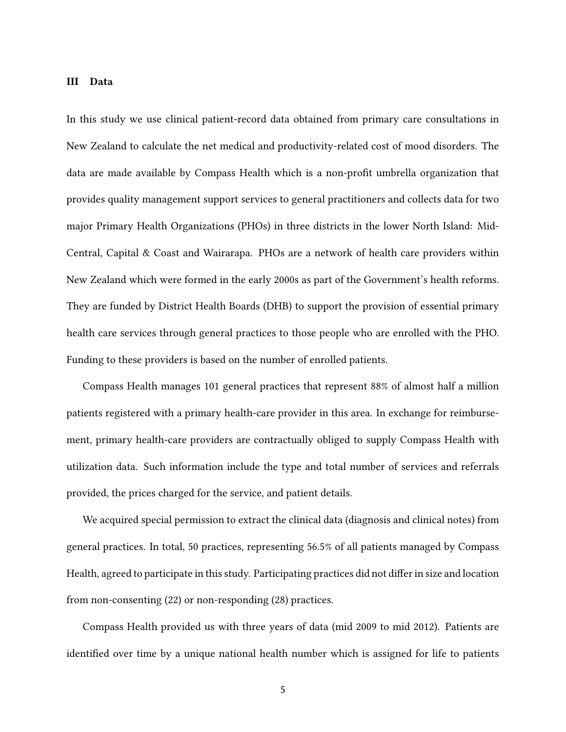#### **III Data**

In this study we use clinical patient-record data obtained from primary care consultations in New Zealand to calculate the net medical and productivity-related cost of mood disorders. The data are made available by Compass Health which is a non-profit umbrella organization that provides quality management support services to general practitioners and collects data for two major Primary Health Organizations (PHOs) in three districts in the lower North Island: Mid-Central, Capital & Coast and Wairarapa. PHOs are a network of health care providers within New Zealand which were formed in the early 2000s as part of the Government's health reforms. They are funded by District Health Boards (DHB) to support the provision of essential primary health care services through general practices to those people who are enrolled with the PHO. Funding to these providers is based on the number of enrolled patients.

Compass Health manages 101 general practices that represent 88% of almost half a million patients registered with a primary health-care provider in this area. In exchange for reimbursement, primary health-care providers are contractually obliged to supply Compass Health with utilization data. Such information include the type and total number of services and referrals provided, the prices charged for the service, and patient details.

We acquired special permission to extract the clinical data (diagnosis and clinical notes) from general practices. In total, 50 practices, representing 56.5% of all patients managed by Compass Health, agreed to participate in this study. Participating practices did not differ in size and location from non-consenting (22) or non-responding (28) practices.

Compass Health provided us with three years of data (mid 2009 to mid 2012). Patients are identified over time by a unique national health number which is assigned for life to patients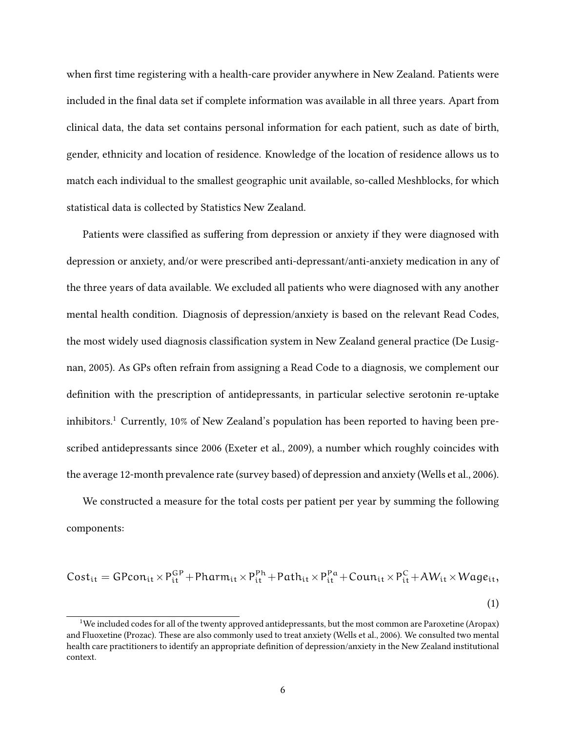when first time registering with a health-care provider anywhere in New Zealand. Patients were included in the final data set if complete information was available in all three years. Apart from clinical data, the data set contains personal information for each patient, such as date of birth, gender, ethnicity and location of residence. Knowledge of the location of residence allows us to match each individual to the smallest geographic unit available, so-called Meshblocks, for which statistical data is collected by Statistics New Zealand.

Patients were classified as suffering from depression or anxiety if they were diagnosed with depression or anxiety, and/or were prescribed anti-depressant/anti-anxiety medication in any of the three years of data available. We excluded all patients who were diagnosed with any another mental health condition. Diagnosis of depression/anxiety is based on the relevant Read Codes, the most widely used diagnosis classification system in New Zealand general practice (De Lusignan, 2005). As GPs often refrain from assigning a Read Code to a diagnosis, we complement our definition with the prescription of antidepressants, in particular selective serotonin re-uptake inhibitors.<sup>1</sup> Currently, 10% of New Zealand's population has been reported to having been prescribed antidepressants since 2006 (Exeter et al., 2009), a number which roughly coincides with the average 12-month prevalence rate (survey based) of depression and anxiety (Wells et al., 2006).

We constructed a measure for the total costs per patient per year by summing the following components:

$$
Cost_{it} = GPcon_{it} \times P_{it}^{GP} + Pharm_{it} \times P_{it}^{Ph} + Path_{it} \times P_{it}^{Pa} + Count_{it} \times P_{it}^{C} + AW_{it} \times Wage_{it},
$$
\n(1)

<sup>1</sup>We included codes for all of the twenty approved antidepressants, but the most common are Paroxetine (Aropax) and Fluoxetine (Prozac). These are also commonly used to treat anxiety (Wells et al., 2006). We consulted two mental health care practitioners to identify an appropriate definition of depression/anxiety in the New Zealand institutional context.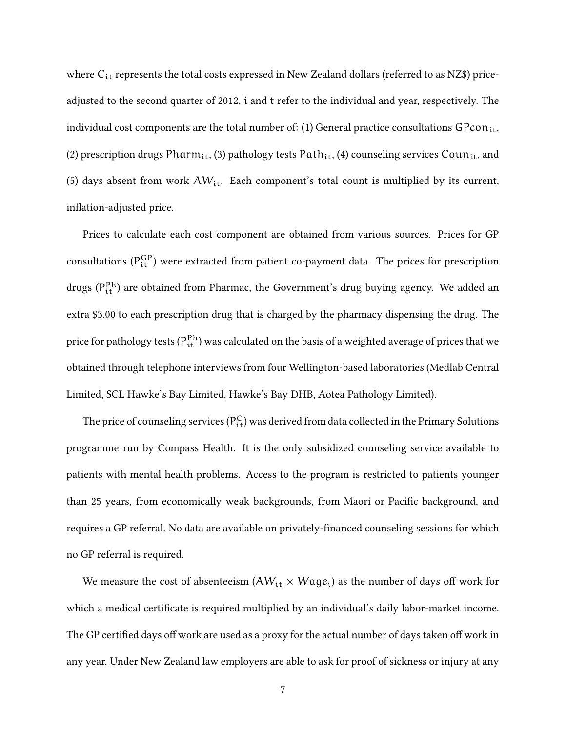where C<sub>it</sub> represents the total costs expressed in New Zealand dollars (referred to as NZ\$) priceadjusted to the second quarter of 2012, i and t refer to the individual and year, respectively. The individual cost components are the total number of: (1) General practice consultations  $\text{GPcon}_{it}$ , (2) prescription drugs Pharm<sub>it</sub>, (3) pathology tests Path<sub>it</sub>, (4) counseling services Coun<sub>it</sub>, and (5) days absent from work  $AW_{it}$ . Each component's total count is multiplied by its current, inflation-adjusted price.

Prices to calculate each cost component are obtained from various sources. Prices for GP consultations ( $P_{it}^{GP}$ ) were extracted from patient co-payment data. The prices for prescription drugs (P<sup>Ph</sup>) are obtained from Pharmac, the Government's drug buying agency. We added an extra \$3.00 to each prescription drug that is charged by the pharmacy dispensing the drug. The price for pathology tests ( $\mathsf{P}^\mathtt{Ph}_\mathtt{it}$ ) was calculated on the basis of a weighted average of prices that we obtained through telephone interviews from four Wellington-based laboratories (Medlab Central Limited, SCL Hawke's Bay Limited, Hawke's Bay DHB, Aotea Pathology Limited).

The price of counseling services ( ${\sf P}_{\sf it}^{\sf C}$ ) was derived from data collected in the Primary Solutions programme run by Compass Health. It is the only subsidized counseling service available to patients with mental health problems. Access to the program is restricted to patients younger than 25 years, from economically weak backgrounds, from Maori or Pacific background, and requires a GP referral. No data are available on privately-financed counseling sessions for which no GP referral is required.

We measure the cost of absenteeism  $(AW_{it} \times Wage_i)$  as the number of days off work for which a medical certificate is required multiplied by an individual's daily labor-market income. The GP certified days off work are used as a proxy for the actual number of days taken off work in any year. Under New Zealand law employers are able to ask for proof of sickness or injury at any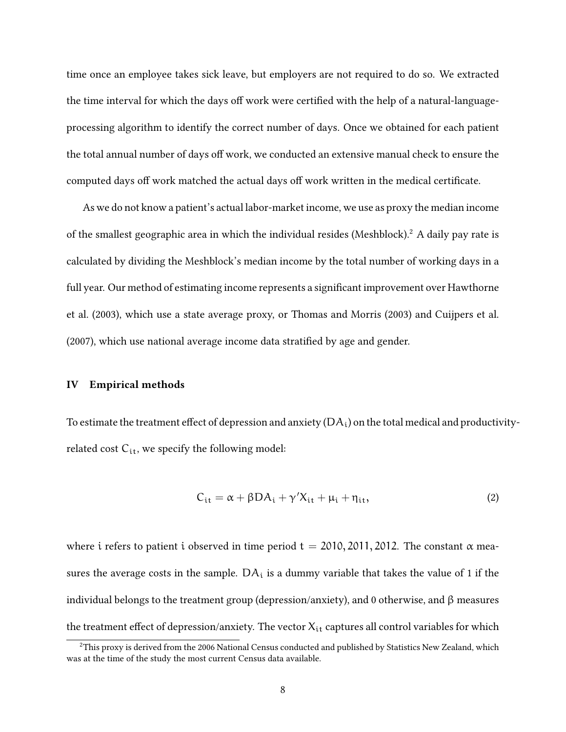time once an employee takes sick leave, but employers are not required to do so. We extracted the time interval for which the days off work were certified with the help of a natural-languageprocessing algorithm to identify the correct number of days. Once we obtained for each patient the total annual number of days off work, we conducted an extensive manual check to ensure the computed days off work matched the actual days off work written in the medical certificate.

As we do not know a patient's actual labor-market income, we use as proxy the median income of the smallest geographic area in which the individual resides (Meshblock).<sup>2</sup> A daily pay rate is calculated by dividing the Meshblock's median income by the total number of working days in a full year. Our method of estimating income represents a significant improvement over Hawthorne et al. (2003), which use a state average proxy, or Thomas and Morris (2003) and Cuijpers et al. (2007), which use national average income data stratified by age and gender.

#### **IV Empirical methods**

To estimate the treatment effect of depression and anxiety  $(DA_i)$  on the total medical and productivityrelated cost  $C_{it}$ , we specify the following model:

$$
C_{it} = \alpha + \beta D A_i + \gamma' X_{it} + \mu_i + \eta_{it}, \qquad (2)
$$

where i refers to patient i observed in time period  $t = 2010, 2011, 2012$ . The constant  $\alpha$  measures the average costs in the sample.  $DA_i$  is a dummy variable that takes the value of 1 if the individual belongs to the treatment group (depression/anxiety), and 0 otherwise, and β measures the treatment effect of depression/anxiety. The vector  $X_{it}$  captures all control variables for which

<sup>&</sup>lt;sup>2</sup>This proxy is derived from the 2006 National Census conducted and published by Statistics New Zealand, which was at the time of the study the most current Census data available.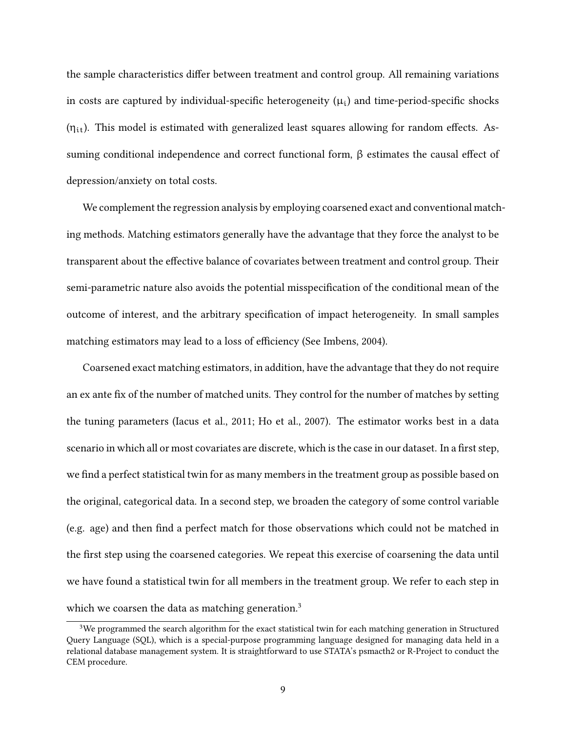the sample characteristics differ between treatment and control group. All remaining variations in costs are captured by individual-specific heterogeneity  $(\mu_i)$  and time-period-specific shocks  $(\eta_{it})$ . This model is estimated with generalized least squares allowing for random effects. Assuming conditional independence and correct functional form, β estimates the causal effect of depression/anxiety on total costs.

We complement the regression analysis by employing coarsened exact and conventional matching methods. Matching estimators generally have the advantage that they force the analyst to be transparent about the effective balance of covariates between treatment and control group. Their semi-parametric nature also avoids the potential misspecification of the conditional mean of the outcome of interest, and the arbitrary specification of impact heterogeneity. In small samples matching estimators may lead to a loss of efficiency (See Imbens, 2004).

Coarsened exact matching estimators, in addition, have the advantage that they do not require an ex ante fix of the number of matched units. They control for the number of matches by setting the tuning parameters (Iacus et al., 2011; Ho et al., 2007). The estimator works best in a data scenario in which all or most covariates are discrete, which is the case in our dataset. In a first step, we find a perfect statistical twin for as many members in the treatment group as possible based on the original, categorical data. In a second step, we broaden the category of some control variable (e.g. age) and then find a perfect match for those observations which could not be matched in the first step using the coarsened categories. We repeat this exercise of coarsening the data until we have found a statistical twin for all members in the treatment group. We refer to each step in which we coarsen the data as matching generation.<sup>3</sup>

<sup>&</sup>lt;sup>3</sup>We programmed the search algorithm for the exact statistical twin for each matching generation in Structured Query Language (SQL), which is a special-purpose programming language designed for managing data held in a relational database management system. It is straightforward to use STATA's psmacth2 or R-Project to conduct the CEM procedure.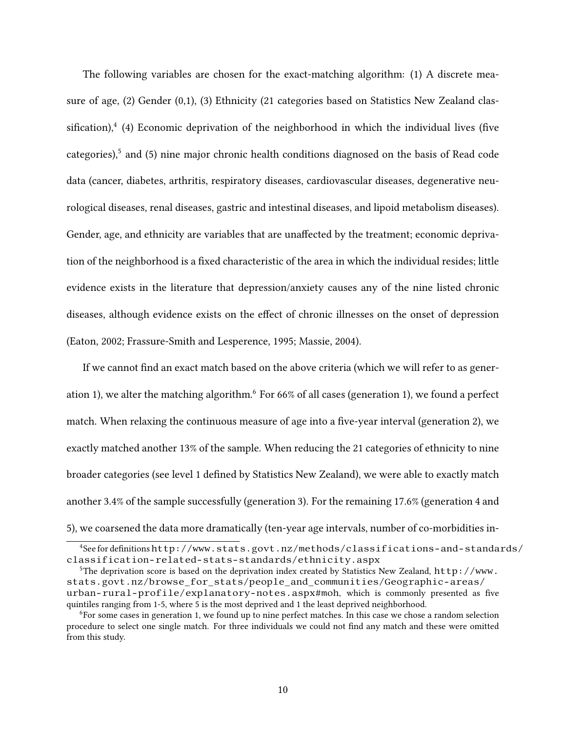The following variables are chosen for the exact-matching algorithm: (1) A discrete measure of age, (2) Gender (0,1), (3) Ethnicity (21 categories based on Statistics New Zealand classification), $4$  (4) Economic deprivation of the neighborhood in which the individual lives (five categories),<sup>5</sup> and (5) nine major chronic health conditions diagnosed on the basis of Read code data (cancer, diabetes, arthritis, respiratory diseases, cardiovascular diseases, degenerative neurological diseases, renal diseases, gastric and intestinal diseases, and lipoid metabolism diseases). Gender, age, and ethnicity are variables that are unaffected by the treatment; economic deprivation of the neighborhood is a fixed characteristic of the area in which the individual resides; little evidence exists in the literature that depression/anxiety causes any of the nine listed chronic diseases, although evidence exists on the effect of chronic illnesses on the onset of depression (Eaton, 2002; Frassure-Smith and Lesperence, 1995; Massie, 2004).

If we cannot find an exact match based on the above criteria (which we will refer to as generation 1), we alter the matching algorithm.<sup>6</sup> For 66% of all cases (generation 1), we found a perfect match. When relaxing the continuous measure of age into a five-year interval (generation 2), we exactly matched another 13% of the sample. When reducing the 21 categories of ethnicity to nine broader categories (see level 1 defined by Statistics New Zealand), we were able to exactly match another 3.4% of the sample successfully (generation 3). For the remaining 17.6% (generation 4 and 5), we coarsened the data more dramatically (ten-year age intervals, number of co-morbidities in-

<sup>4</sup>See for definitions http://www.stats.govt.nz/methods/classifications-and-standards/ classification-related-stats-standards/ethnicity.aspx

<sup>&</sup>lt;sup>5</sup>The deprivation score is based on the deprivation index created by Statistics New Zealand, http://www. stats.govt.nz/browse\_for\_stats/people\_and\_communities/Geographic-areas/ urban-rural-profile/explanatory-notes.aspx#moh, which is commonly presented as five quintiles ranging from 1-5, where 5 is the most deprived and 1 the least deprived neighborhood.

<sup>6</sup>For some cases in generation 1, we found up to nine perfect matches. In this case we chose a random selection procedure to select one single match. For three individuals we could not find any match and these were omitted from this study.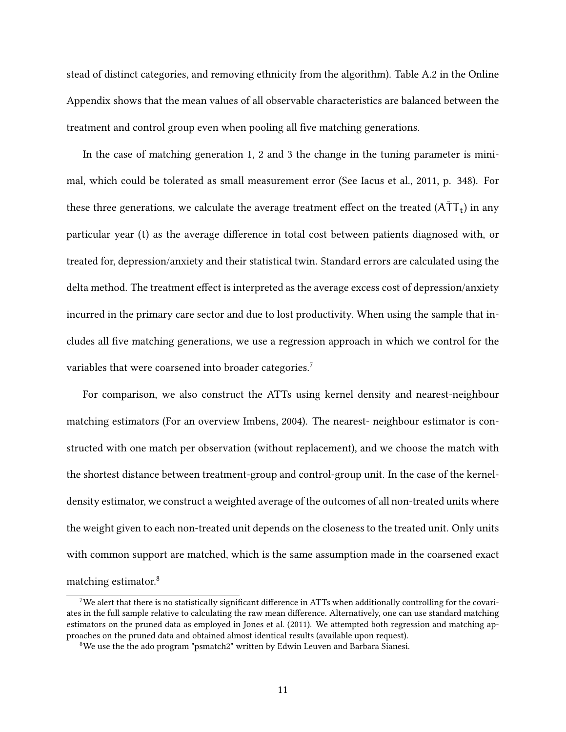stead of distinct categories, and removing ethnicity from the algorithm). Table A.2 in the Online Appendix shows that the mean values of all observable characteristics are balanced between the treatment and control group even when pooling all five matching generations.

In the case of matching generation 1, 2 and 3 the change in the tuning parameter is minimal, which could be tolerated as small measurement error (See Iacus et al., 2011, p. 348). For these three generations, we calculate the average treatment effect on the treated (A $\bar{\textsf{T}}\textsf{T}_{\textsf{t}}$ ) in any particular year (t) as the average difference in total cost between patients diagnosed with, or treated for, depression/anxiety and their statistical twin. Standard errors are calculated using the delta method. The treatment effect is interpreted as the average excess cost of depression/anxiety incurred in the primary care sector and due to lost productivity. When using the sample that includes all five matching generations, we use a regression approach in which we control for the variables that were coarsened into broader categories.<sup>7</sup>

For comparison, we also construct the ATTs using kernel density and nearest-neighbour matching estimators (For an overview Imbens, 2004). The nearest- neighbour estimator is constructed with one match per observation (without replacement), and we choose the match with the shortest distance between treatment-group and control-group unit. In the case of the kerneldensity estimator, we construct a weighted average of the outcomes of all non-treated units where the weight given to each non-treated unit depends on the closeness to the treated unit. Only units with common support are matched, which is the same assumption made in the coarsened exact matching estimator.<sup>8</sup>

<sup>7</sup>We alert that there is no statistically significant difference in ATTs when additionally controlling for the covariates in the full sample relative to calculating the raw mean difference. Alternatively, one can use standard matching estimators on the pruned data as employed in Jones et al. (2011). We attempted both regression and matching approaches on the pruned data and obtained almost identical results (available upon request).

<sup>8</sup>We use the the ado program "psmatch2" written by Edwin Leuven and Barbara Sianesi.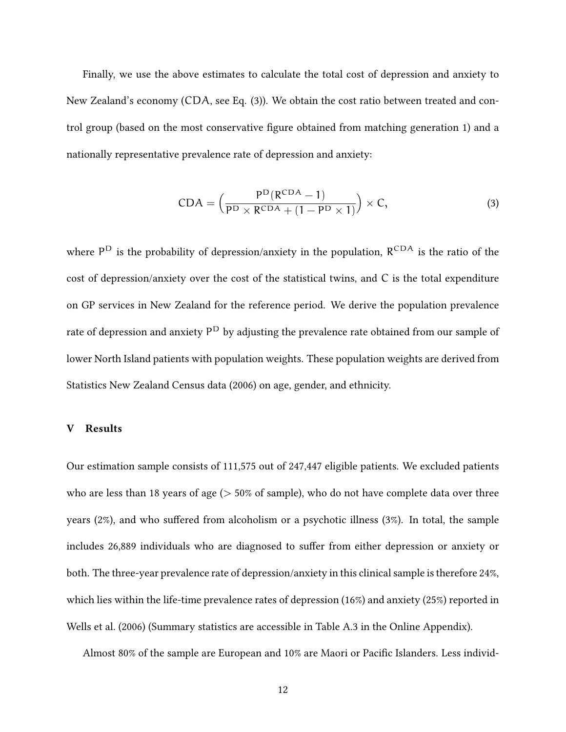Finally, we use the above estimates to calculate the total cost of depression and anxiety to New Zealand's economy (CDA, see Eq. (3)). We obtain the cost ratio between treated and control group (based on the most conservative figure obtained from matching generation 1) and a nationally representative prevalence rate of depression and anxiety:

$$
CDA = \left(\frac{P^{D}(R^{CDA} - 1)}{P^{D} \times R^{CDA} + (1 - P^{D} \times 1)}\right) \times C,
$$
\n(3)

where  $P^D$  is the probability of depression/anxiety in the population,  $R^{CDA}$  is the ratio of the cost of depression/anxiety over the cost of the statistical twins, and C is the total expenditure on GP services in New Zealand for the reference period. We derive the population prevalence rate of depression and anxiety  $\mathsf{P}^\mathsf{D}$  by adjusting the prevalence rate obtained from our sample of lower North Island patients with population weights. These population weights are derived from Statistics New Zealand Census data (2006) on age, gender, and ethnicity.

#### **V Results**

Our estimation sample consists of 111,575 out of 247,447 eligible patients. We excluded patients who are less than 18 years of age  $($  > 50% of sample), who do not have complete data over three years (2%), and who suffered from alcoholism or a psychotic illness (3%). In total, the sample includes 26,889 individuals who are diagnosed to suffer from either depression or anxiety or both. The three-year prevalence rate of depression/anxiety in this clinical sample is therefore 24%, which lies within the life-time prevalence rates of depression (16%) and anxiety (25%) reported in Wells et al. (2006) (Summary statistics are accessible in Table A.3 in the Online Appendix).

Almost 80% of the sample are European and 10% are Maori or Pacific Islanders. Less individ-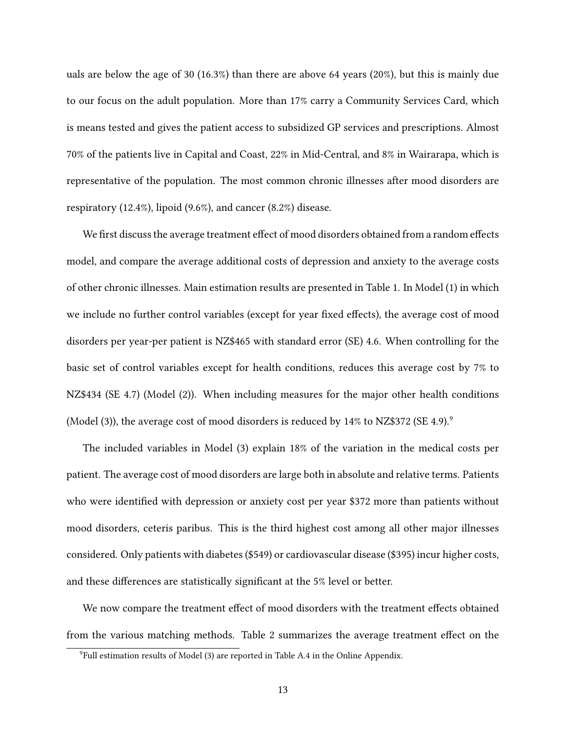uals are below the age of 30 (16.3%) than there are above 64 years (20%), but this is mainly due to our focus on the adult population. More than 17% carry a Community Services Card, which is means tested and gives the patient access to subsidized GP services and prescriptions. Almost 70% of the patients live in Capital and Coast, 22% in Mid-Central, and 8% in Wairarapa, which is representative of the population. The most common chronic illnesses after mood disorders are respiratory (12.4%), lipoid (9.6%), and cancer (8.2%) disease.

We first discuss the average treatment effect of mood disorders obtained from a random effects model, and compare the average additional costs of depression and anxiety to the average costs of other chronic illnesses. Main estimation results are presented in Table 1. In Model (1) in which we include no further control variables (except for year fixed effects), the average cost of mood disorders per year-per patient is NZ\$465 with standard error (SE) 4.6. When controlling for the basic set of control variables except for health conditions, reduces this average cost by 7% to NZ\$434 (SE 4.7) (Model (2)). When including measures for the major other health conditions (Model (3)), the average cost of mood disorders is reduced by 14% to NZ\$372 (SE 4.9).<sup>9</sup>

The included variables in Model (3) explain 18% of the variation in the medical costs per patient. The average cost of mood disorders are large both in absolute and relative terms. Patients who were identified with depression or anxiety cost per year \$372 more than patients without mood disorders, ceteris paribus. This is the third highest cost among all other major illnesses considered. Only patients with diabetes (\$549) or cardiovascular disease (\$395) incur higher costs, and these differences are statistically significant at the 5% level or better.

We now compare the treatment effect of mood disorders with the treatment effects obtained from the various matching methods. Table 2 summarizes the average treatment effect on the

<sup>&</sup>lt;sup>9</sup>Full estimation results of Model (3) are reported in Table A.4 in the Online Appendix.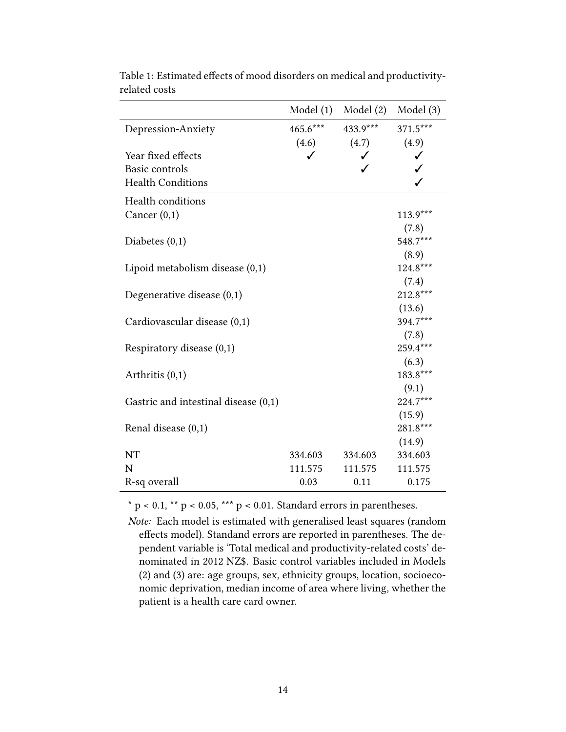|                                        | Model(1)   | Model (2)       | Model(3)   |
|----------------------------------------|------------|-----------------|------------|
| Depression-Anxiety                     | $465.6***$ | $433.9***$      | 371.5***   |
|                                        |            | $(4.6)$ $(4.7)$ | (4.9)      |
| Year fixed effects                     | ✓          | ✓               | ✓          |
| Basic controls                         |            |                 |            |
| <b>Health Conditions</b>               |            |                 |            |
| <b>Health conditions</b>               |            |                 |            |
| Cancer $(0,1)$                         |            |                 | $113.9***$ |
|                                        |            |                 | (7.8)      |
| Diabetes $(0,1)$                       |            |                 | 548.7***   |
|                                        |            |                 | (8.9)      |
| Lipoid metabolism disease $(0,1)$      |            |                 | 124.8***   |
|                                        |            |                 | (7.4)      |
| Degenerative disease $(0,1)$           |            |                 | 212.8***   |
|                                        |            |                 | (13.6)     |
| Cardiovascular disease (0,1)           |            |                 | 394.7***   |
|                                        |            |                 | (7.8)      |
| Respiratory disease $(0,1)$            |            |                 | 259.4***   |
|                                        |            |                 | (6.3)      |
| Arthritis $(0,1)$                      |            |                 | 183.8***   |
|                                        |            |                 | (9.1)      |
| Gastric and intestinal disease $(0,1)$ |            |                 | 224.7***   |
|                                        |            |                 | (15.9)     |
| Renal disease (0,1)                    |            |                 | 281.8***   |
|                                        |            |                 | (14.9)     |
| <b>NT</b>                              | 334.603    | 334.603         | 334.603    |
| N                                      | 111.575    | 111.575         | 111.575    |
| R-sq overall                           | 0.03       | 0.11            | 0.175      |

Table 1: Estimated effects of mood disorders on medical and productivityrelated costs

 $*$  p < 0.1,  $**$  p < 0.05,  $***$  p < 0.01. Standard errors in parentheses.

*Note:* Each model is estimated with generalised least squares (random effects model). Standand errors are reported in parentheses. The dependent variable is 'Total medical and productivity-related costs' denominated in 2012 NZ\$. Basic control variables included in Models (2) and (3) are: age groups, sex, ethnicity groups, location, socioeconomic deprivation, median income of area where living, whether the patient is a health care card owner.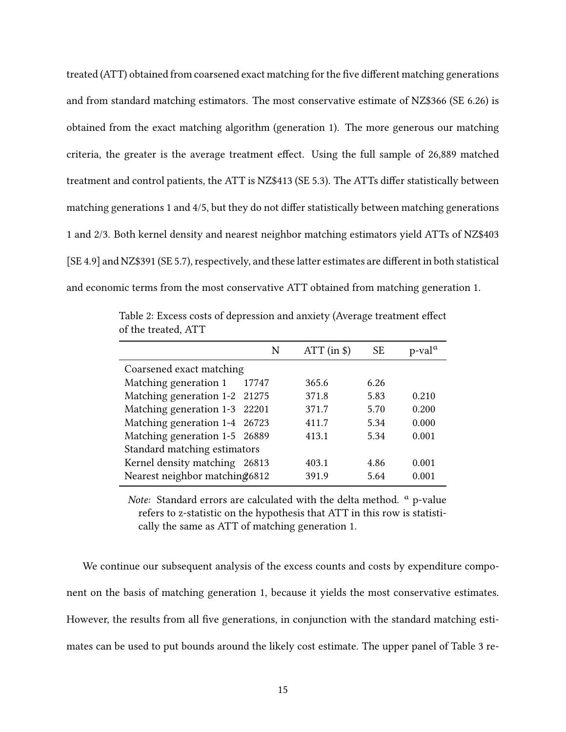treated (ATT) obtained from coarsened exact matching for the five different matching generations and from standard matching estimators. The most conservative estimate of NZ\$366 (SE 6.26) is obtained from the exact matching algorithm (generation 1). The more generous our matching criteria, the greater is the average treatment effect. Using the full sample of 26,889 matched treatment and control patients, the ATT is NZ\$413 (SE 5.3). The ATTs differ statistically between matching generations 1 and 4/5, but they do not differ statistically between matching generations 1 and 2/3. Both kernel density and nearest neighbor matching estimators yield ATTs of NZ\$403 [SE 4.9] and NZ\$391 (SE 5.7), respectively, and these latter estimates are different in both statistical and economic terms from the most conservative ATT obtained from matching generation 1.

|                                |       | N | $ATT$ (in $\$\$ ) | <b>SE</b> | $p$ -val <sup><math>\alpha</math></sup> |
|--------------------------------|-------|---|-------------------|-----------|-----------------------------------------|
| Coarsened exact matching       |       |   |                   |           |                                         |
| Matching generation 1          | 17747 |   | 365.6             | 6.26      |                                         |
| Matching generation 1-2 21275  |       |   | 371.8             | 5.83      | 0.210                                   |
| Matching generation 1-3 22201  |       |   | 371.7             | 5.70      | 0.200                                   |
| Matching generation 1-4 26723  |       |   | 411.7             | 5.34      | 0.000                                   |
| Matching generation 1-5 26889  |       |   | 413.1             | 5.34      | 0.001                                   |
| Standard matching estimators   |       |   |                   |           |                                         |
| Kernel density matching        | 26813 |   | 403.1             | 4.86      | 0.001                                   |
| Nearest neighbor matching 6812 |       |   | 391.9             | 5.64      | 0.001                                   |

Table 2: Excess costs of depression and anxiety (Average treatment effect of the treated, ATT

*Note:* Standard errors are calculated with the delta method. <sup>a</sup> p-value refers to z-statistic on the hypothesis that ATT in this row is statistically the same as ATT of matching generation 1.

We continue our subsequent analysis of the excess counts and costs by expenditure component on the basis of matching generation 1, because it yields the most conservative estimates. However, the results from all five generations, in conjunction with the standard matching estimates can be used to put bounds around the likely cost estimate. The upper panel of Table 3 re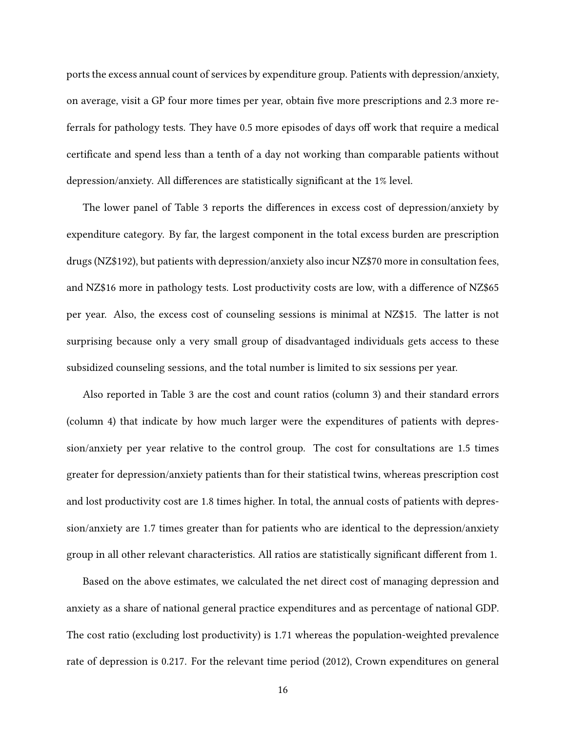ports the excess annual count of services by expenditure group. Patients with depression/anxiety, on average, visit a GP four more times per year, obtain five more prescriptions and 2.3 more referrals for pathology tests. They have 0.5 more episodes of days off work that require a medical certificate and spend less than a tenth of a day not working than comparable patients without depression/anxiety. All differences are statistically significant at the 1% level.

The lower panel of Table 3 reports the differences in excess cost of depression/anxiety by expenditure category. By far, the largest component in the total excess burden are prescription drugs (NZ\$192), but patients with depression/anxiety also incur NZ\$70 more in consultation fees, and NZ\$16 more in pathology tests. Lost productivity costs are low, with a difference of NZ\$65 per year. Also, the excess cost of counseling sessions is minimal at NZ\$15. The latter is not surprising because only a very small group of disadvantaged individuals gets access to these subsidized counseling sessions, and the total number is limited to six sessions per year.

Also reported in Table 3 are the cost and count ratios (column 3) and their standard errors (column 4) that indicate by how much larger were the expenditures of patients with depression/anxiety per year relative to the control group. The cost for consultations are 1.5 times greater for depression/anxiety patients than for their statistical twins, whereas prescription cost and lost productivity cost are 1.8 times higher. In total, the annual costs of patients with depression/anxiety are 1.7 times greater than for patients who are identical to the depression/anxiety group in all other relevant characteristics. All ratios are statistically significant different from 1.

Based on the above estimates, we calculated the net direct cost of managing depression and anxiety as a share of national general practice expenditures and as percentage of national GDP. The cost ratio (excluding lost productivity) is 1.71 whereas the population-weighted prevalence rate of depression is 0.217. For the relevant time period (2012), Crown expenditures on general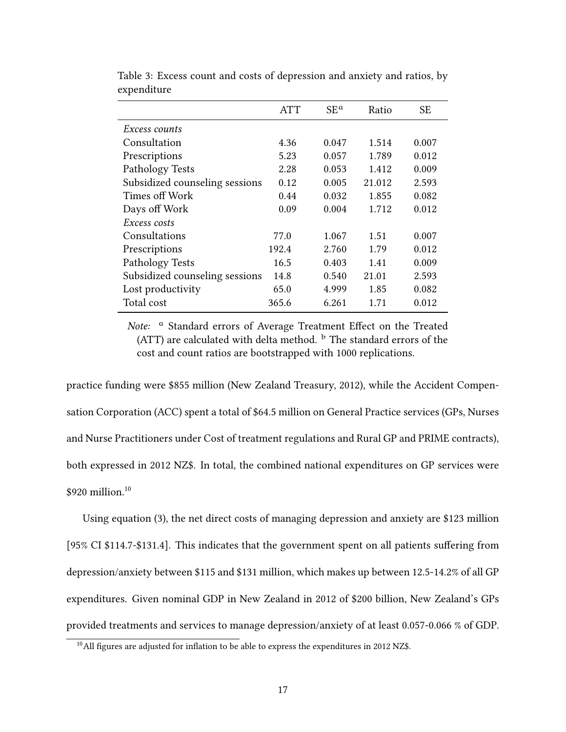|                                | <b>ATT</b> | $SE^a$ | Ratio  | SE    |
|--------------------------------|------------|--------|--------|-------|
| <i>Excess counts</i>           |            |        |        |       |
| Consultation                   | 4.36       | 0.047  | 1.514  | 0.007 |
| Prescriptions                  | 5.23       | 0.057  | 1.789  | 0.012 |
| Pathology Tests                | 2.28       | 0.053  | 1.412  | 0.009 |
| Subsidized counseling sessions | 0.12       | 0.005  | 21.012 | 2.593 |
| Times off Work                 | 0.44       | 0.032  | 1.855  | 0.082 |
| Days off Work                  | 0.09       | 0.004  | 1.712  | 0.012 |
| Excess costs                   |            |        |        |       |
| Consultations                  | 77.0       | 1.067  | 1.51   | 0.007 |
| Prescriptions                  | 192.4      | 2.760  | 1.79   | 0.012 |
| Pathology Tests                | 16.5       | 0.403  | 1.41   | 0.009 |
| Subsidized counseling sessions | 14.8       | 0.540  | 21.01  | 2.593 |
| Lost productivity              | 65.0       | 4.999  | 1.85   | 0.082 |
| Total cost                     | 365.6      | 6.261  | 1.71   | 0.012 |

Table 3: Excess count and costs of depression and anxiety and ratios, by expenditure

*Note:* <sup>a</sup> Standard errors of Average Treatment Effect on the Treated (ATT) are calculated with delta method.  $<sup>b</sup>$  The standard errors of the</sup> cost and count ratios are bootstrapped with 1000 replications.

practice funding were \$855 million (New Zealand Treasury, 2012), while the Accident Compensation Corporation (ACC) spent a total of \$64.5 million on General Practice services (GPs, Nurses and Nurse Practitioners under Cost of treatment regulations and Rural GP and PRIME contracts), both expressed in 2012 NZ\$. In total, the combined national expenditures on GP services were \$920 million.<sup>10</sup>

Using equation (3), the net direct costs of managing depression and anxiety are \$123 million [95% CI \$114.7-\$131.4]. This indicates that the government spent on all patients suffering from depression/anxiety between \$115 and \$131 million, which makes up between 12.5-14.2% of all GP expenditures. Given nominal GDP in New Zealand in 2012 of \$200 billion, New Zealand's GPs provided treatments and services to manage depression/anxiety of at least 0.057-0.066 % of GDP.

 $10$ All figures are adjusted for inflation to be able to express the expenditures in 2012 NZ\$.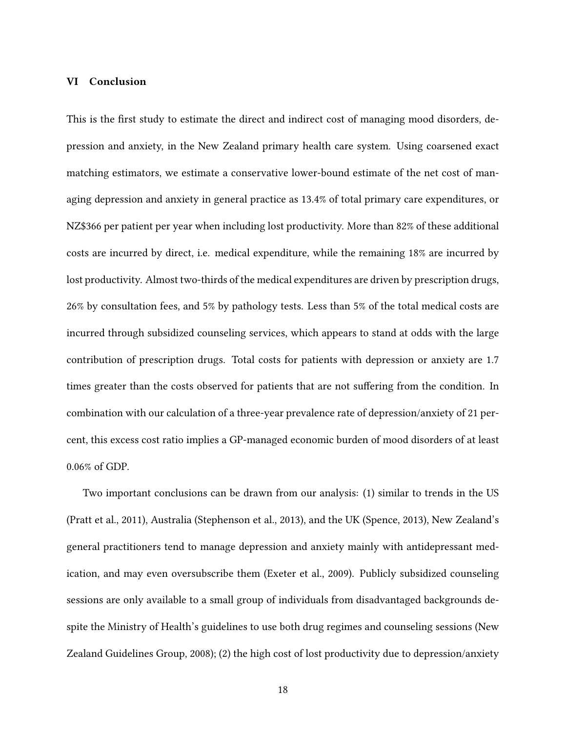#### **VI Conclusion**

This is the first study to estimate the direct and indirect cost of managing mood disorders, depression and anxiety, in the New Zealand primary health care system. Using coarsened exact matching estimators, we estimate a conservative lower-bound estimate of the net cost of managing depression and anxiety in general practice as 13.4% of total primary care expenditures, or NZ\$366 per patient per year when including lost productivity. More than 82% of these additional costs are incurred by direct, i.e. medical expenditure, while the remaining 18% are incurred by lost productivity. Almost two-thirds of the medical expenditures are driven by prescription drugs, 26% by consultation fees, and 5% by pathology tests. Less than 5% of the total medical costs are incurred through subsidized counseling services, which appears to stand at odds with the large contribution of prescription drugs. Total costs for patients with depression or anxiety are 1.7 times greater than the costs observed for patients that are not suffering from the condition. In combination with our calculation of a three-year prevalence rate of depression/anxiety of 21 percent, this excess cost ratio implies a GP-managed economic burden of mood disorders of at least 0.06% of GDP.

Two important conclusions can be drawn from our analysis: (1) similar to trends in the US (Pratt et al., 2011), Australia (Stephenson et al., 2013), and the UK (Spence, 2013), New Zealand's general practitioners tend to manage depression and anxiety mainly with antidepressant medication, and may even oversubscribe them (Exeter et al., 2009). Publicly subsidized counseling sessions are only available to a small group of individuals from disadvantaged backgrounds despite the Ministry of Health's guidelines to use both drug regimes and counseling sessions (New Zealand Guidelines Group, 2008); (2) the high cost of lost productivity due to depression/anxiety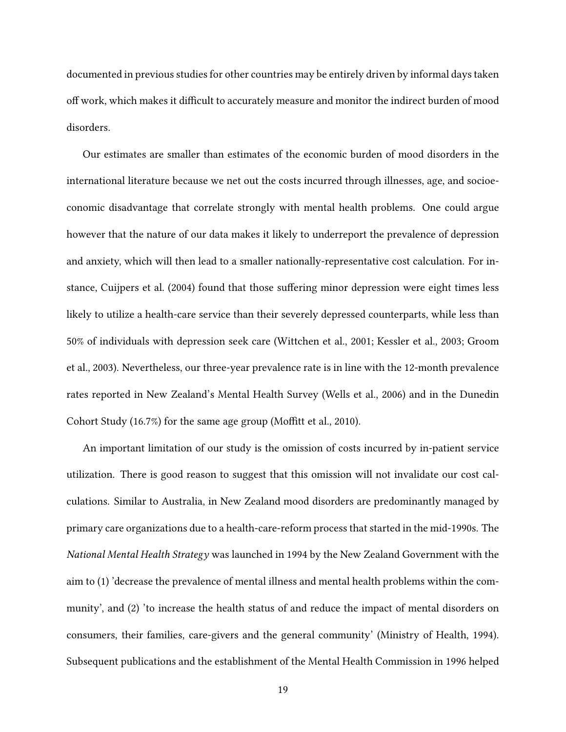documented in previous studies for other countries may be entirely driven by informal days taken off work, which makes it difficult to accurately measure and monitor the indirect burden of mood disorders.

Our estimates are smaller than estimates of the economic burden of mood disorders in the international literature because we net out the costs incurred through illnesses, age, and socioeconomic disadvantage that correlate strongly with mental health problems. One could argue however that the nature of our data makes it likely to underreport the prevalence of depression and anxiety, which will then lead to a smaller nationally-representative cost calculation. For instance, Cuijpers et al. (2004) found that those suffering minor depression were eight times less likely to utilize a health-care service than their severely depressed counterparts, while less than 50% of individuals with depression seek care (Wittchen et al., 2001; Kessler et al., 2003; Groom et al., 2003). Nevertheless, our three-year prevalence rate is in line with the 12-month prevalence rates reported in New Zealand's Mental Health Survey (Wells et al., 2006) and in the Dunedin Cohort Study (16.7%) for the same age group (Moffitt et al., 2010).

An important limitation of our study is the omission of costs incurred by in-patient service utilization. There is good reason to suggest that this omission will not invalidate our cost calculations. Similar to Australia, in New Zealand mood disorders are predominantly managed by primary care organizations due to a health-care-reform process that started in the mid-1990s. The *National Mental Health Strategy* was launched in 1994 by the New Zealand Government with the aim to (1) 'decrease the prevalence of mental illness and mental health problems within the community', and (2) 'to increase the health status of and reduce the impact of mental disorders on consumers, their families, care-givers and the general community' (Ministry of Health, 1994). Subsequent publications and the establishment of the Mental Health Commission in 1996 helped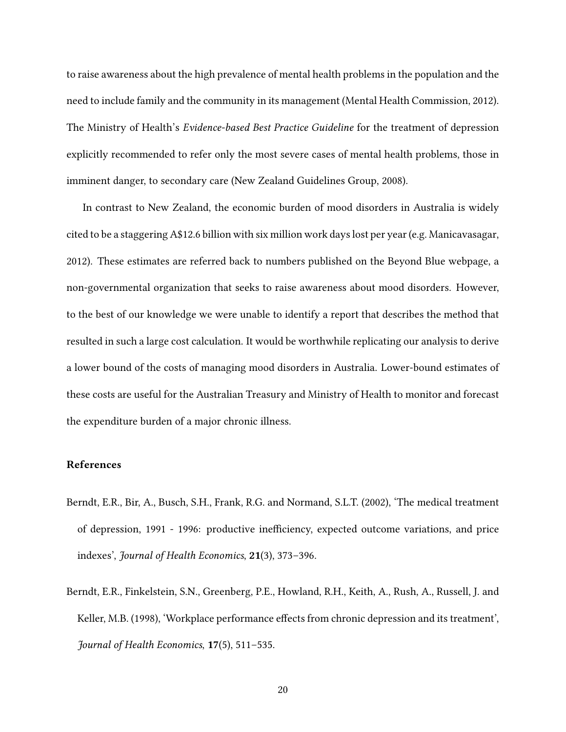to raise awareness about the high prevalence of mental health problems in the population and the need to include family and the community in its management (Mental Health Commission, 2012). The Ministry of Health's *Evidence-based Best Practice Guideline* for the treatment of depression explicitly recommended to refer only the most severe cases of mental health problems, those in imminent danger, to secondary care (New Zealand Guidelines Group, 2008).

In contrast to New Zealand, the economic burden of mood disorders in Australia is widely cited to be a staggering A\$12.6 billion with six million work days lost per year (e.g. Manicavasagar, 2012). These estimates are referred back to numbers published on the Beyond Blue webpage, a non-governmental organization that seeks to raise awareness about mood disorders. However, to the best of our knowledge we were unable to identify a report that describes the method that resulted in such a large cost calculation. It would be worthwhile replicating our analysis to derive a lower bound of the costs of managing mood disorders in Australia. Lower-bound estimates of these costs are useful for the Australian Treasury and Ministry of Health to monitor and forecast the expenditure burden of a major chronic illness.

#### **References**

- Berndt, E.R., Bir, A., Busch, S.H., Frank, R.G. and Normand, S.L.T. (2002), 'The medical treatment of depression, 1991 - 1996: productive inefficiency, expected outcome variations, and price indexes', *Journal of Health Economics*, **21**(3), 373–396.
- Berndt, E.R., Finkelstein, S.N., Greenberg, P.E., Howland, R.H., Keith, A., Rush, A., Russell, J. and Keller, M.B. (1998), 'Workplace performance effects from chronic depression and its treatment', *Journal of Health Economics*, **17**(5), 511–535.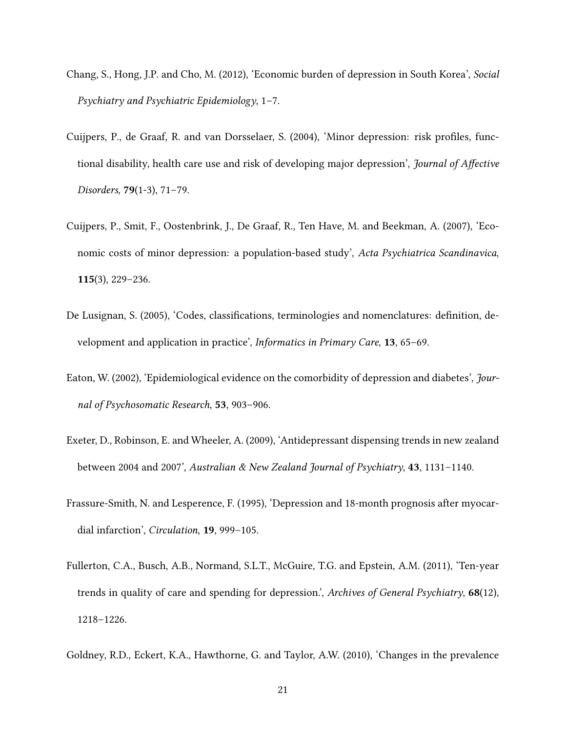- Chang, S., Hong, J.P. and Cho, M. (2012), 'Economic burden of depression in South Korea', *Social Psychiatry and Psychiatric Epidemiology*, 1–7.
- Cuijpers, P., de Graaf, R. and van Dorsselaer, S. (2004), 'Minor depression: risk profiles, functional disability, health care use and risk of developing major depression', *Journal of Affective Disorders*, **79**(1-3), 71–79.
- Cuijpers, P., Smit, F., Oostenbrink, J., De Graaf, R., Ten Have, M. and Beekman, A. (2007), 'Economic costs of minor depression: a population-based study', *Acta Psychiatrica Scandinavica*, **115**(3), 229–236.
- De Lusignan, S. (2005), 'Codes, classifications, terminologies and nomenclatures: definition, development and application in practice', *Informatics in Primary Care*, **13**, 65–69.
- Eaton, W. (2002), 'Epidemiological evidence on the comorbidity of depression and diabetes', *Journal of Psychosomatic Research*, **53**, 903–906.
- Exeter, D., Robinson, E. and Wheeler, A. (2009), 'Antidepressant dispensing trends in new zealand between 2004 and 2007', *Australian & New Zealand Journal of Psychiatry*, **43**, 1131–1140.
- Frassure-Smith, N. and Lesperence, F. (1995), 'Depression and 18-month prognosis after myocardial infarction', *Circulation*, **19**, 999–105.
- Fullerton, C.A., Busch, A.B., Normand, S.L.T., McGuire, T.G. and Epstein, A.M. (2011), 'Ten-year trends in quality of care and spending for depression.', *Archives of General Psychiatry*, **68**(12), 1218–1226.
- Goldney, R.D., Eckert, K.A., Hawthorne, G. and Taylor, A.W. (2010), 'Changes in the prevalence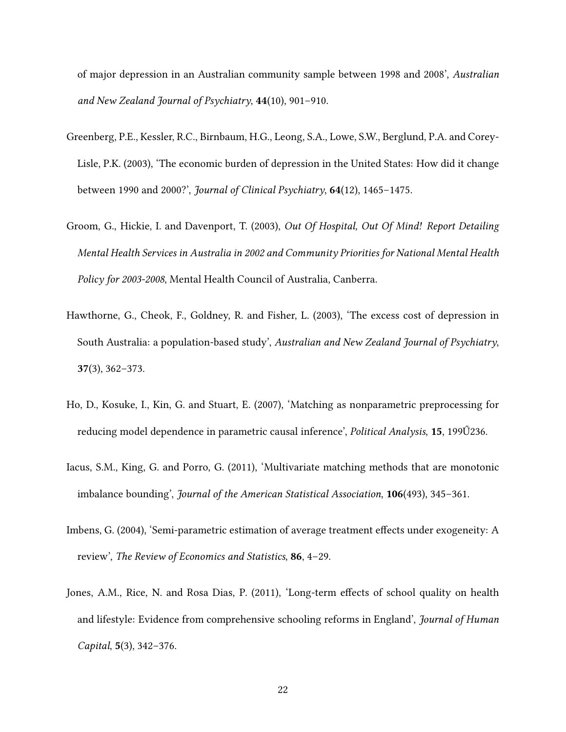of major depression in an Australian community sample between 1998 and 2008', *Australian and New Zealand Journal of Psychiatry*, **44**(10), 901–910.

- Greenberg, P.E., Kessler, R.C., Birnbaum, H.G., Leong, S.A., Lowe, S.W., Berglund, P.A. and Corey-Lisle, P.K. (2003), 'The economic burden of depression in the United States: How did it change between 1990 and 2000?', *Journal of Clinical Psychiatry*, **64**(12), 1465–1475.
- Groom, G., Hickie, I. and Davenport, T. (2003), *Out Of Hospital, Out Of Mind! Report Detailing Mental Health Services in Australia in 2002 and Community Priorities for National Mental Health Policy for 2003-2008*, Mental Health Council of Australia, Canberra.
- Hawthorne, G., Cheok, F., Goldney, R. and Fisher, L. (2003), 'The excess cost of depression in South Australia: a population-based study', *Australian and New Zealand Journal of Psychiatry*, **37**(3), 362–373.
- Ho, D., Kosuke, I., Kin, G. and Stuart, E. (2007), 'Matching as nonparametric preprocessing for reducing model dependence in parametric causal inference', *Political Analysis*, **15**, 199Ű236.
- Iacus, S.M., King, G. and Porro, G. (2011), 'Multivariate matching methods that are monotonic imbalance bounding', *Journal of the American Statistical Association*, **106**(493), 345–361.
- Imbens, G. (2004), 'Semi-parametric estimation of average treatment effects under exogeneity: A review', *The Review of Economics and Statistics*, **86**, 4–29.
- Jones, A.M., Rice, N. and Rosa Dias, P. (2011), 'Long-term effects of school quality on health and lifestyle: Evidence from comprehensive schooling reforms in England', *Journal of Human Capital*, **5**(3), 342–376.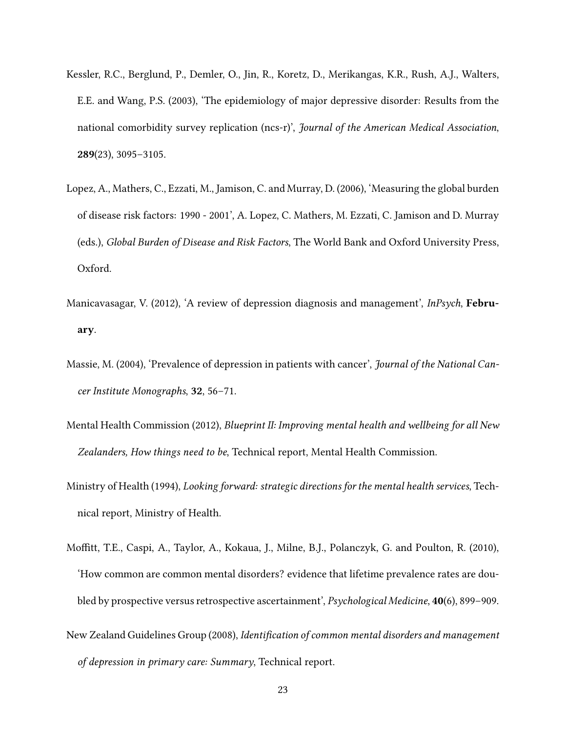- Kessler, R.C., Berglund, P., Demler, O., Jin, R., Koretz, D., Merikangas, K.R., Rush, A.J., Walters, E.E. and Wang, P.S. (2003), 'The epidemiology of major depressive disorder: Results from the national comorbidity survey replication (ncs-r)', *Journal of the American Medical Association*, **289**(23), 3095–3105.
- Lopez, A., Mathers, C., Ezzati, M., Jamison, C. and Murray, D. (2006), 'Measuring the global burden of disease risk factors: 1990 - 2001', A. Lopez, C. Mathers, M. Ezzati, C. Jamison and D. Murray (eds.), *Global Burden of Disease and Risk Factors*, The World Bank and Oxford University Press, Oxford.
- Manicavasagar, V. (2012), 'A review of depression diagnosis and management', *InPsych*, **February**.
- Massie, M. (2004), 'Prevalence of depression in patients with cancer', *Journal of the National Cancer Institute Monographs*, **32**, 56–71.
- Mental Health Commission (2012), *Blueprint II: Improving mental health and wellbeing for all New Zealanders, How things need to be*, Technical report, Mental Health Commission.
- Ministry of Health (1994), *Looking forward: strategic directions for the mental health services*, Technical report, Ministry of Health.
- Moffitt, T.E., Caspi, A., Taylor, A., Kokaua, J., Milne, B.J., Polanczyk, G. and Poulton, R. (2010), 'How common are common mental disorders? evidence that lifetime prevalence rates are doubled by prospective versus retrospective ascertainment', *Psychological Medicine*, **40**(6), 899–909.
- New Zealand Guidelines Group (2008), *Identification of common mental disorders and management of depression in primary care: Summary*, Technical report.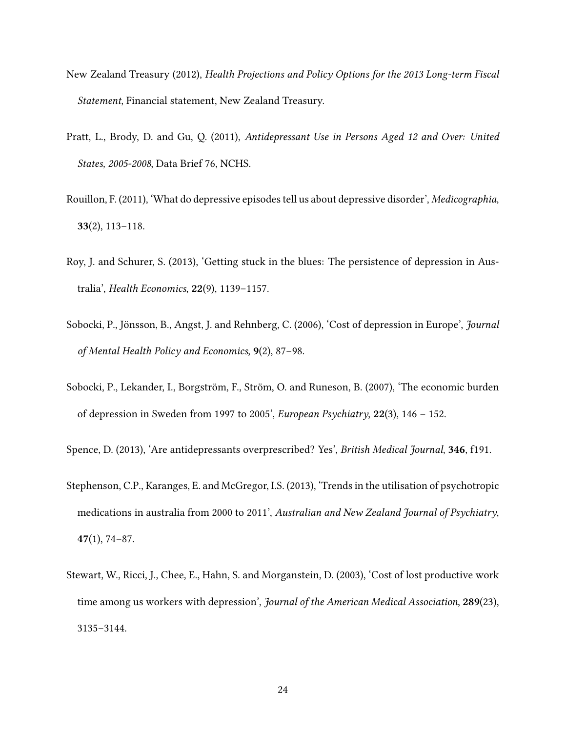- New Zealand Treasury (2012), *Health Projections and Policy Options for the 2013 Long-term Fiscal Statement*, Financial statement, New Zealand Treasury.
- Pratt, L., Brody, D. and Gu, Q. (2011), *Antidepressant Use in Persons Aged 12 and Over: United States, 2005-2008*, Data Brief 76, NCHS.
- Rouillon, F. (2011), 'What do depressive episodes tell us about depressive disorder', *Medicographia*, **33**(2), 113–118.
- Roy, J. and Schurer, S. (2013), 'Getting stuck in the blues: The persistence of depression in Australia', *Health Economics*, **22**(9), 1139–1157.
- Sobocki, P., Jönsson, B., Angst, J. and Rehnberg, C. (2006), 'Cost of depression in Europe', *Journal of Mental Health Policy and Economics*, **9**(2), 87–98.
- Sobocki, P., Lekander, I., Borgström, F., Ström, O. and Runeson, B. (2007), 'The economic burden of depression in Sweden from 1997 to 2005', *European Psychiatry*, **22**(3), 146 – 152.

Spence, D. (2013), 'Are antidepressants overprescribed? Yes', *British Medical Journal*, **346**, f191.

- Stephenson, C.P., Karanges, E. and McGregor, I.S. (2013), 'Trends in the utilisation of psychotropic medications in australia from 2000 to 2011', *Australian and New Zealand Journal of Psychiatry*, **47**(1), 74–87.
- Stewart, W., Ricci, J., Chee, E., Hahn, S. and Morganstein, D. (2003), 'Cost of lost productive work time among us workers with depression', *Journal of the American Medical Association*, **289**(23), 3135–3144.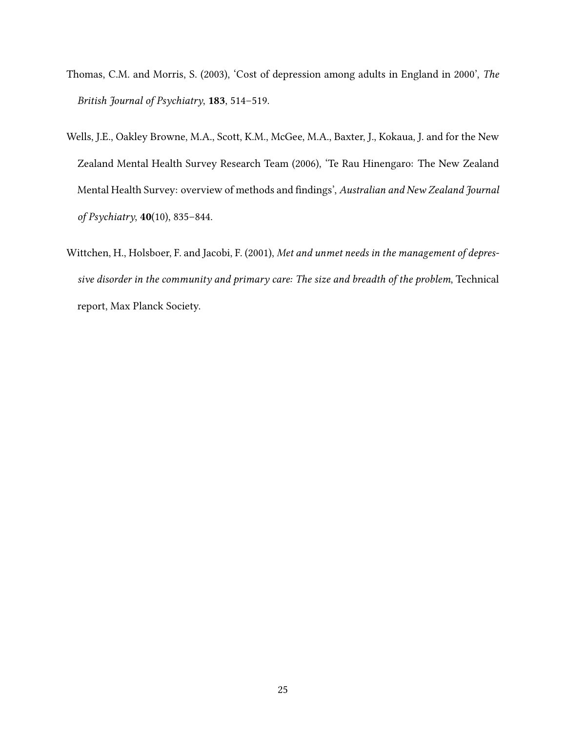- Thomas, C.M. and Morris, S. (2003), 'Cost of depression among adults in England in 2000', *The British Journal of Psychiatry*, **183**, 514–519.
- Wells, J.E., Oakley Browne, M.A., Scott, K.M., McGee, M.A., Baxter, J., Kokaua, J. and for the New Zealand Mental Health Survey Research Team (2006), 'Te Rau Hinengaro: The New Zealand Mental Health Survey: overview of methods and findings', *Australian and New Zealand Journal of Psychiatry*, **40**(10), 835–844.
- Wittchen, H., Holsboer, F. and Jacobi, F. (2001), *Met and unmet needs in the management of depressive disorder in the community and primary care: The size and breadth of the problem*, Technical report, Max Planck Society.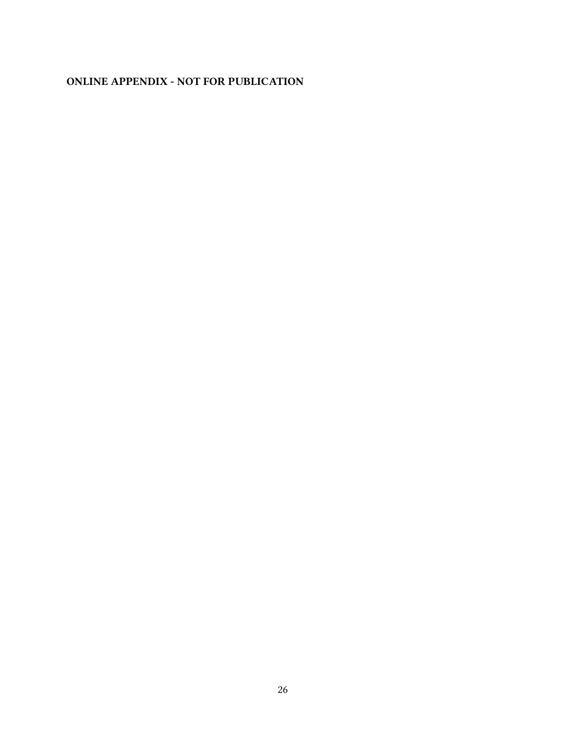### **ONLINE APPENDIX - NOT FOR PUBLICATION**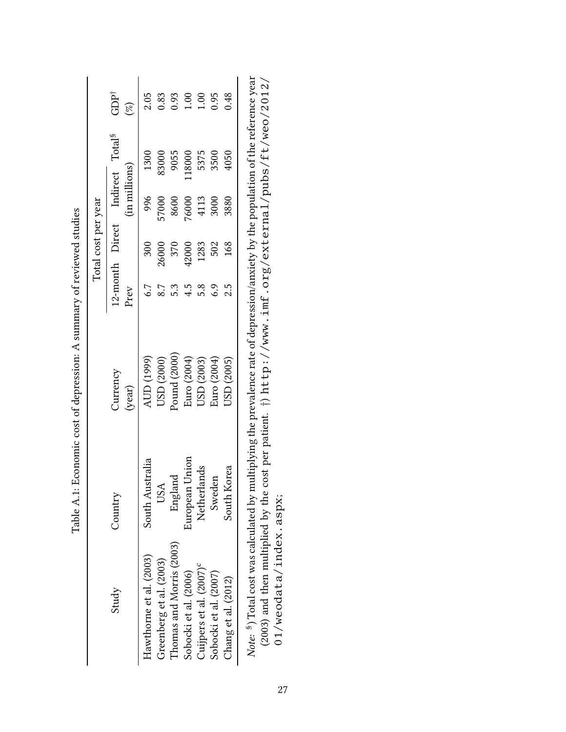|                     | $GDP^{\dagger}$<br>$(\mathscr{E})$ |                         |                          |                          | $\begin{array}{c} 2.05 \\ 0.83 \\ 0.93 \\ 1.00 \\ 0.95 \\ 1.00 \\ 0.48 \\ 0.48 \end{array}$ |                                     |                       |                     |                                                                                                                                                                                                                                                                                           |
|---------------------|------------------------------------|-------------------------|--------------------------|--------------------------|---------------------------------------------------------------------------------------------|-------------------------------------|-----------------------|---------------------|-------------------------------------------------------------------------------------------------------------------------------------------------------------------------------------------------------------------------------------------------------------------------------------------|
|                     | Indirect Total <sup>§</sup>        | 1300                    | 83000                    |                          | 9055<br>18000<br>5375<br>5375<br>5500<br>4050                                               |                                     |                       |                     | $\frac{1}{2}$                                                                                                                                                                                                                                                                             |
|                     | (in millions)                      | 996                     |                          |                          | 57000<br>8600<br>76000<br>4113<br>3000<br>3000                                              |                                     |                       |                     |                                                                                                                                                                                                                                                                                           |
| Total cost per year | 12-month Direct                    | 300                     | 26000                    | 370<br>42000             |                                                                                             | 1283                                | 502                   | 168                 |                                                                                                                                                                                                                                                                                           |
|                     | Prev                               | 6.7                     | 8.7                      | 5.3                      | 4.5                                                                                         | 5.8                                 | 6.9                   | 2.5                 | $\mathbf{r}$ and $\mathbf{r}$ are all $\mathbf{r}$ and $\mathbf{r}$ are all $\mathbf{r}$ and $\mathbf{r}$ are all $\mathbf{r}$ and $\mathbf{r}$ are all $\mathbf{r}$ and $\mathbf{r}$ are all $\mathbf{r}$ and $\mathbf{r}$ are all $\mathbf{r}$ and $\mathbf{r}$ are all $\mathbf{r}$ an |
|                     | <b>Currency</b><br>(year)          |                         | AUD (1999)<br>USD (2000) | Pound (2000)             | Euro (2004)<br>USD (2003)<br>Euro (2004)<br>USD (2005)                                      |                                     |                       |                     | -<br>.<br>.                                                                                                                                                                                                                                                                               |
|                     | Country                            | South Australia         | USA                      | England                  | European Union                                                                              | Netherlands                         | den<br>Swe            | Korea<br>South      | $\frac{1}{2}$ . The set of $\frac{1}{2}$ is the set of $\frac{1}{2}$<br>--<br>-<br>-                                                                                                                                                                                                      |
|                     | Study                              | Hawthorne et al. (2003) | Greenberg et al. (2003)  | Thomas and Morris (2003) | Sobocki et al. (2006)                                                                       | Cuijpers et al. (2007) <sup>c</sup> | Sobocki et al. (2007) | Chang et al. (2012) | $\frac{1}{2}$ , $\frac{1}{2}$ , $\frac{1}{2}$ , $\frac{1}{2}$ , $\frac{1}{2}$                                                                                                                                                                                                             |

Table A.1: Economic cost of depression: A summary of reviewed studies Table A.1: Economic cost of depression: A summary of reviewed studies Note: <sup>\$</sup>) Total cost was calculated by multiplying the prevalence rate of depression/anxiety by the population of the reference year §) Total cost was calculated by multiplying the prevalence rate of depression/anxiety by the population of the reference year (2003) and then multiplied by the cost per patient. *†*) http://www.imf.org/external/pubs/ft/weo/2012/ (2003) and then multiplied by the cost per patient.  $\dagger$ ) http://www.imf.org/external/pubs/ft/weo/2012/  $01/we$ odata/index.aspx; 01/weodata/index.aspx;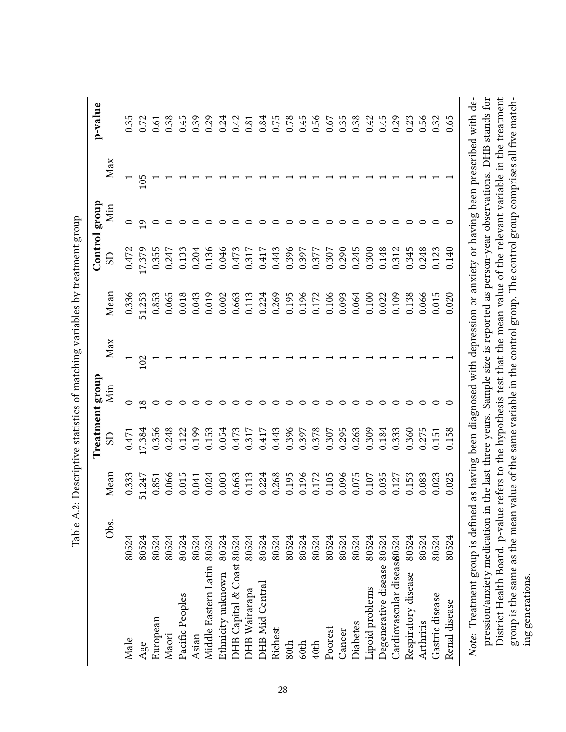|                               |       |                                                                                            |                                                                                   | Treatment group |     |                |                | Control group |     | p-value |
|-------------------------------|-------|--------------------------------------------------------------------------------------------|-----------------------------------------------------------------------------------|-----------------|-----|----------------|----------------|---------------|-----|---------|
|                               | Obs.  | Mean                                                                                       | SD                                                                                | Min             | Max | Mean           | $\overline{S}$ | Min           | Max |         |
| Male                          | 80524 | 0.333                                                                                      | 0.471                                                                             | 0               |     | 0.336          | 0.472          | $\circ$       |     | 0.35    |
| Age                           | 80524 | 51.247                                                                                     | 17.384                                                                            |                 | 102 | 51.253         | 17.379         | Q             | 105 | 0.72    |
| European                      | 80524 | 0.851                                                                                      | 0.356                                                                             |                 |     | 0.853          | 0.355          |               |     | 0.61    |
| Maori                         | 80524 | 0.066                                                                                      | 0.248                                                                             |                 |     | 0.065          | 0.247          |               |     | 0.38    |
| Pacific Peoples               | 80524 | 0.015                                                                                      | 0.122                                                                             |                 |     | 0.018          | 0.133          |               |     | 0.45    |
| Asian                         | 80524 | 0.041                                                                                      | 0.199                                                                             |                 |     | 0.043          | 0.204          |               |     | 0.39    |
| Middle Eastern Latin 80524    |       | 0.024                                                                                      | 0.153                                                                             |                 |     | 0.019          | 0.136          |               |     | 0.29    |
| Ethnicity unknown             | 80524 | 0.003                                                                                      | 0.054                                                                             |                 |     | 0.002          | 0.046          |               |     | 0.24    |
| DHB Capital & Coast 80524     |       | 0.663                                                                                      | 0.473                                                                             |                 |     | 0.663          | 0.473          |               |     | 0.42    |
| <b>DHB</b> Wairarapa          | 80524 | 0.113                                                                                      | 0.317                                                                             |                 |     | 0.113          | 0.317          |               |     | 0.81    |
| <b>DHB</b> Mid Central        | 80524 |                                                                                            | 0.417                                                                             |                 |     | 0.224          | 0.417          |               |     | 0.84    |
| Richest                       | 80524 |                                                                                            | 0.443                                                                             |                 |     | 0.269          | 0.443          |               |     | 0.75    |
| 80th                          | 80524 | 0.224<br>0.268<br>0.195                                                                    | 0.396                                                                             |                 |     | 0.195          | 0.396          |               |     | 0.78    |
| 60th                          | 80524 |                                                                                            |                                                                                   |                 |     |                | 0.397          |               |     | 0.45    |
| 40th                          | 80524 |                                                                                            |                                                                                   |                 |     | 0.196<br>0.172 | 0.377          |               |     | 0.56    |
| Poorest                       | 80524 | $\begin{array}{c} 0.196 \\ 0.172 \\ 0.105 \\ 0.096 \\ 0.075 \\ 0.075 \\ 0.035 \end{array}$ | $\begin{array}{c} 0.397 \\ 0.378 \\ 0.307 \\ 0.295 \\ 0.263 \\ 0.303 \end{array}$ |                 |     | 0.106          | 0.307          |               |     | 0.67    |
| Cancer                        | 80524 |                                                                                            |                                                                                   |                 |     | 0.093          | 0.290          |               |     | 0.35    |
| Diabetes                      | 80524 |                                                                                            |                                                                                   |                 |     | 0.064          | 0.245          |               |     | 0.38    |
| Lipoid problems               | 80524 |                                                                                            |                                                                                   |                 |     | 0.100          | 0.300          |               |     | 0.42    |
| Degenerative disease 80524    |       |                                                                                            | 0.184                                                                             |                 |     | 0.022          | 0.148          |               |     | 0.45    |
| Cardiovascular diseas $80524$ |       |                                                                                            | 0.333                                                                             |                 |     | 0.109          | 0.312          |               |     | 0.29    |
| Respiratory disease           | 80524 | 0.127<br>0.153                                                                             | 0.360                                                                             |                 |     | 0.138          | 0.345          |               |     | 0.23    |
| Arthritis                     | 80524 | 0.83                                                                                       | 0.275                                                                             |                 |     | 0.066          | 0.248          |               |     | 0.56    |
| Gastric disease               | 80524 | 0.23                                                                                       | 0.151                                                                             |                 |     | 0.015          | 0.123          |               |     | 0.32    |
| Renal disease                 | 80524 | 0.025                                                                                      | 0.158                                                                             |                 |     | 0.020          | 0.140          |               |     | 0.65    |
|                               |       |                                                                                            |                                                                                   |                 |     |                |                |               |     |         |

Table A.2: Descriptive statistics of matching variables by treatment group Table A.2: Descriptive statistics of matching variables by treatment group

pression/anxiety medication in the last three years. Sample size is reported as person-year observations. DHB stands for Note: Treatment group is defined as having been diagnosed with depression or anxiety or having been prescribed with de-District Health Board. p-value refers to the hypothesis test that the mean value of the relevant variable in the treatment group is the same as the mean value of the same variable in the control group. The control group comprises all five matchpression/anxiety medication in the last three years. Sample size is reported as person-year observations. DHB stands for District Health Board. p-value refers to the hypothesis test that the mean value of the relevant variable in the treatment *Note:* Treatment group is defined as having been diagnosed with depression or anxiety or having been prescribed with degroup is the same as the mean value of the same variable in the control group. The control group comprises all five matching generations. ing generations.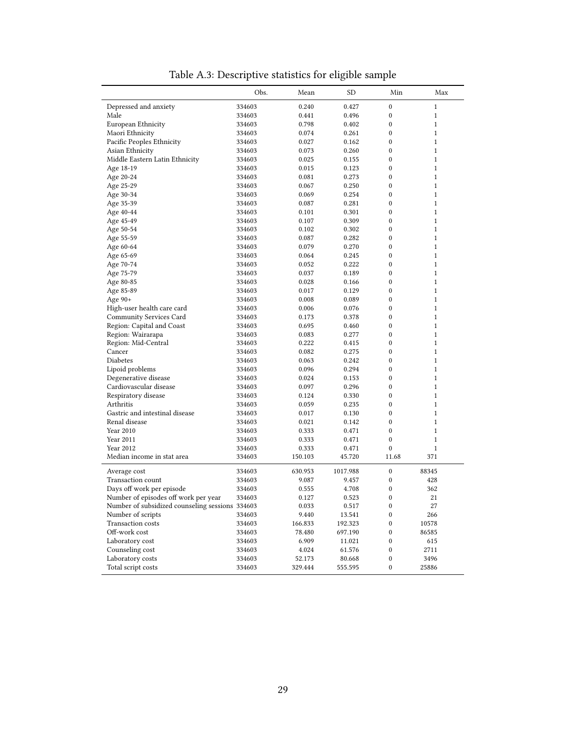| $\boldsymbol{0}$<br>Depressed and anxiety<br>334603<br>0.240<br>0.427<br>$\mathbf{1}$<br>Male<br>$\boldsymbol{0}$<br>0.441<br>0.496<br>$\mathbf{1}$<br>334603<br>$\mathbf{0}$<br>European Ethnicity<br>0.798<br>0.402<br>$\mathbf{1}$<br>334603<br>Maori Ethnicity<br>$\mathbf{0}$<br>$\mathbf{1}$<br>0.261<br>334603<br>0.074<br>Pacific Peoples Ethnicity<br>$\mathbf{0}$<br>0.027<br>0.162<br>$\mathbf{1}$<br>334603<br>Asian Ethnicity<br>$\mathbf{0}$<br>0.260<br>$\mathbf{1}$<br>334603<br>0.073<br>Middle Eastern Latin Ethnicity<br>$\mathbf{0}$<br>$\mathbf{1}$<br>334603<br>0.025<br>0.155<br>$\mathbf{0}$<br>$\mathbf{1}$<br>Age 18-19<br>334603<br>0.015<br>0.123<br>$\mathbf{0}$<br>Age 20-24<br>0.081<br>0.273<br>$\mathbf{1}$<br>334603<br>$\mathbf{0}$<br>Age 25-29<br>0.067<br>0.250<br>$\mathbf{1}$<br>334603<br>Age 30-34<br>0.069<br>0.254<br>0<br>$\mathbf{1}$<br>334603<br>$\mathbf{0}$<br>Age 35-39<br>0.087<br>0.281<br>$\mathbf{1}$<br>334603<br>$\mathbf{0}$<br>Age 40-44<br>0.301<br>$\mathbf{1}$<br>334603<br>0.101<br>$\mathbf{0}$<br>$\mathbf{1}$<br>Age 45-49<br>0.309<br>334603<br>0.107<br>$\mathbf{0}$<br>Age 50-54<br>0.302<br>$\mathbf{1}$<br>334603<br>0.102<br>$\mathbf{0}$<br>$\mathbf{1}$<br>Age 55-59<br>0.087<br>0.282<br>334603<br>$\mathbf{0}$<br>$\mathbf{1}$<br>0.079<br>0.270<br>Age 60-64<br>334603<br>Age 65-69<br>0.245<br>0<br>$\mathbf{1}$<br>334603<br>0.064<br>$\mathbf{0}$<br>Age 70-74<br>0.052<br>0.222<br>$\mathbf{1}$<br>334603<br>$\mathbf{0}$<br>$\mathbf{1}$<br>Age 75-79<br>0.189<br>334603<br>0.037<br>$\mathbf{0}$<br>Age 80-85<br>$\mathbf{1}$<br>334603<br>0.028<br>0.166<br>$\mathbf{0}$<br>Age 85-89<br>0.129<br>$\mathbf{1}$<br>334603<br>0.017<br>$\mathbf{0}$<br>$\mathbf{1}$<br>Age $90+$<br>0.008<br>0.089<br>334603<br>High-user health care card<br>$\mathbf{0}$<br>334603<br>0.006<br>0.076<br>$\mathbf{1}$<br>Community Services Card<br>0.378<br>$\boldsymbol{0}$<br>$\mathbf{1}$<br>334603<br>0.173<br>$\mathbf{0}$<br>Region: Capital and Coast<br>0.695<br>$\mathbf{1}$<br>334603<br>0.460<br>Region: Wairarapa<br>$\mathbf{0}$<br>$\mathbf{1}$<br>0.083<br>0.277<br>334603<br>Region: Mid-Central<br>$\mathbf{0}$<br>0.222<br>$\mathbf{1}$<br>334603<br>0.415<br>Cancer<br>$\mathbf{0}$<br>0.082<br>0.275<br>$\mathbf{1}$<br>334603<br>Diabetes<br>$\mathbf{0}$<br>$\mathbf{1}$<br>0.242<br>334603<br>0.063<br>Lipoid problems<br>$\mathbf{0}$<br>334603<br>0.096<br>0.294<br>$\mathbf{1}$<br>Degenerative disease<br>$\mathbf{0}$<br>0.024<br>$\mathbf{1}$<br>334603<br>0.153<br>Cardiovascular disease<br>$\mathbf{0}$<br>$\mathbf{1}$<br>0.097<br>0.296<br>334603<br>$\mathbf{0}$<br>Respiratory disease<br>0.330<br>$\mathbf{1}$<br>334603<br>0.124<br>$\mathbf{0}$<br>Arthritis<br>0.059<br>0.235<br>$\mathbf{1}$<br>334603<br>Gastric and intestinal disease<br>$\mathbf{0}$<br>$\mathbf{1}$<br>0.017<br>0.130<br>334603<br>Renal disease<br>$\boldsymbol{0}$<br>334603<br>0.021<br>0.142<br>$\mathbf{1}$<br>Year 2010<br>$\boldsymbol{0}$<br>0.333<br>0.471<br>$\mathbf{1}$<br>334603<br>Year 2011<br>$\boldsymbol{0}$<br>$\mathbf{1}$<br>334603<br>0.333<br>0.471<br>$\mathbf{0}$<br>Year 2012<br>$\mathbf{1}$<br>334603<br>0.333<br>0.471<br>Median income in stat area<br>45.720<br>11.68<br>371<br>334603<br>150.103<br>$\boldsymbol{0}$<br>Average cost<br>334603<br>630.953<br>1017.988<br>88345<br>$\mathbf{0}$<br>Transaction count<br>428<br>334603<br>9.087<br>9.457<br>Days off work per episode<br>0.555<br>4.708<br>0<br>362<br>334603<br>21<br>Number of episodes off work per year<br>0.127<br>0.523<br>0<br>334603<br>$\boldsymbol{0}$<br>Number of subsidized counseling sessions 334603<br>27<br>0.033<br>0.517<br>Number of scripts<br>334603<br>9.440<br>13.541<br>$\boldsymbol{0}$<br>266<br>Transaction costs<br>334603<br>166.833<br>192.323<br>$\boldsymbol{0}$<br>10578<br>Off-work cost<br>$\boldsymbol{0}$<br>334603<br>78.480<br>697.190<br>86585<br>Laboratory cost<br>334603<br>6.909<br>$\boldsymbol{0}$<br>615<br>11.021<br>Counseling cost<br>334603<br>4.024<br>61.576<br>$\boldsymbol{0}$<br>2711<br>Laboratory costs<br>$\boldsymbol{0}$<br>334603<br>52.173<br>80.668<br>3496 |                    | Obs.   | Mean    | <b>SD</b> | Min              | Max   |
|--------------------------------------------------------------------------------------------------------------------------------------------------------------------------------------------------------------------------------------------------------------------------------------------------------------------------------------------------------------------------------------------------------------------------------------------------------------------------------------------------------------------------------------------------------------------------------------------------------------------------------------------------------------------------------------------------------------------------------------------------------------------------------------------------------------------------------------------------------------------------------------------------------------------------------------------------------------------------------------------------------------------------------------------------------------------------------------------------------------------------------------------------------------------------------------------------------------------------------------------------------------------------------------------------------------------------------------------------------------------------------------------------------------------------------------------------------------------------------------------------------------------------------------------------------------------------------------------------------------------------------------------------------------------------------------------------------------------------------------------------------------------------------------------------------------------------------------------------------------------------------------------------------------------------------------------------------------------------------------------------------------------------------------------------------------------------------------------------------------------------------------------------------------------------------------------------------------------------------------------------------------------------------------------------------------------------------------------------------------------------------------------------------------------------------------------------------------------------------------------------------------------------------------------------------------------------------------------------------------------------------------------------------------------------------------------------------------------------------------------------------------------------------------------------------------------------------------------------------------------------------------------------------------------------------------------------------------------------------------------------------------------------------------------------------------------------------------------------------------------------------------------------------------------------------------------------------------------------------------------------------------------------------------------------------------------------------------------------------------------------------------------------------------------------------------------------------------------------------------------------------------------------------------------------------------------------------------------------------------------------------------------------------------------------------------------------------------------------------------------------------------------------------------------------------------------------------------------------------------------------------------------------------------------------------------------------------------------------------------------------------------------------------------------------------------------------------------------------------------------------------------------------------------------------------------------------------------|--------------------|--------|---------|-----------|------------------|-------|
|                                                                                                                                                                                                                                                                                                                                                                                                                                                                                                                                                                                                                                                                                                                                                                                                                                                                                                                                                                                                                                                                                                                                                                                                                                                                                                                                                                                                                                                                                                                                                                                                                                                                                                                                                                                                                                                                                                                                                                                                                                                                                                                                                                                                                                                                                                                                                                                                                                                                                                                                                                                                                                                                                                                                                                                                                                                                                                                                                                                                                                                                                                                                                                                                                                                                                                                                                                                                                                                                                                                                                                                                                                                                                                                                                                                                                                                                                                                                                                                                                                                                                                                                                                                                              |                    |        |         |           |                  |       |
|                                                                                                                                                                                                                                                                                                                                                                                                                                                                                                                                                                                                                                                                                                                                                                                                                                                                                                                                                                                                                                                                                                                                                                                                                                                                                                                                                                                                                                                                                                                                                                                                                                                                                                                                                                                                                                                                                                                                                                                                                                                                                                                                                                                                                                                                                                                                                                                                                                                                                                                                                                                                                                                                                                                                                                                                                                                                                                                                                                                                                                                                                                                                                                                                                                                                                                                                                                                                                                                                                                                                                                                                                                                                                                                                                                                                                                                                                                                                                                                                                                                                                                                                                                                                              |                    |        |         |           |                  |       |
|                                                                                                                                                                                                                                                                                                                                                                                                                                                                                                                                                                                                                                                                                                                                                                                                                                                                                                                                                                                                                                                                                                                                                                                                                                                                                                                                                                                                                                                                                                                                                                                                                                                                                                                                                                                                                                                                                                                                                                                                                                                                                                                                                                                                                                                                                                                                                                                                                                                                                                                                                                                                                                                                                                                                                                                                                                                                                                                                                                                                                                                                                                                                                                                                                                                                                                                                                                                                                                                                                                                                                                                                                                                                                                                                                                                                                                                                                                                                                                                                                                                                                                                                                                                                              |                    |        |         |           |                  |       |
|                                                                                                                                                                                                                                                                                                                                                                                                                                                                                                                                                                                                                                                                                                                                                                                                                                                                                                                                                                                                                                                                                                                                                                                                                                                                                                                                                                                                                                                                                                                                                                                                                                                                                                                                                                                                                                                                                                                                                                                                                                                                                                                                                                                                                                                                                                                                                                                                                                                                                                                                                                                                                                                                                                                                                                                                                                                                                                                                                                                                                                                                                                                                                                                                                                                                                                                                                                                                                                                                                                                                                                                                                                                                                                                                                                                                                                                                                                                                                                                                                                                                                                                                                                                                              |                    |        |         |           |                  |       |
|                                                                                                                                                                                                                                                                                                                                                                                                                                                                                                                                                                                                                                                                                                                                                                                                                                                                                                                                                                                                                                                                                                                                                                                                                                                                                                                                                                                                                                                                                                                                                                                                                                                                                                                                                                                                                                                                                                                                                                                                                                                                                                                                                                                                                                                                                                                                                                                                                                                                                                                                                                                                                                                                                                                                                                                                                                                                                                                                                                                                                                                                                                                                                                                                                                                                                                                                                                                                                                                                                                                                                                                                                                                                                                                                                                                                                                                                                                                                                                                                                                                                                                                                                                                                              |                    |        |         |           |                  |       |
|                                                                                                                                                                                                                                                                                                                                                                                                                                                                                                                                                                                                                                                                                                                                                                                                                                                                                                                                                                                                                                                                                                                                                                                                                                                                                                                                                                                                                                                                                                                                                                                                                                                                                                                                                                                                                                                                                                                                                                                                                                                                                                                                                                                                                                                                                                                                                                                                                                                                                                                                                                                                                                                                                                                                                                                                                                                                                                                                                                                                                                                                                                                                                                                                                                                                                                                                                                                                                                                                                                                                                                                                                                                                                                                                                                                                                                                                                                                                                                                                                                                                                                                                                                                                              |                    |        |         |           |                  |       |
|                                                                                                                                                                                                                                                                                                                                                                                                                                                                                                                                                                                                                                                                                                                                                                                                                                                                                                                                                                                                                                                                                                                                                                                                                                                                                                                                                                                                                                                                                                                                                                                                                                                                                                                                                                                                                                                                                                                                                                                                                                                                                                                                                                                                                                                                                                                                                                                                                                                                                                                                                                                                                                                                                                                                                                                                                                                                                                                                                                                                                                                                                                                                                                                                                                                                                                                                                                                                                                                                                                                                                                                                                                                                                                                                                                                                                                                                                                                                                                                                                                                                                                                                                                                                              |                    |        |         |           |                  |       |
|                                                                                                                                                                                                                                                                                                                                                                                                                                                                                                                                                                                                                                                                                                                                                                                                                                                                                                                                                                                                                                                                                                                                                                                                                                                                                                                                                                                                                                                                                                                                                                                                                                                                                                                                                                                                                                                                                                                                                                                                                                                                                                                                                                                                                                                                                                                                                                                                                                                                                                                                                                                                                                                                                                                                                                                                                                                                                                                                                                                                                                                                                                                                                                                                                                                                                                                                                                                                                                                                                                                                                                                                                                                                                                                                                                                                                                                                                                                                                                                                                                                                                                                                                                                                              |                    |        |         |           |                  |       |
|                                                                                                                                                                                                                                                                                                                                                                                                                                                                                                                                                                                                                                                                                                                                                                                                                                                                                                                                                                                                                                                                                                                                                                                                                                                                                                                                                                                                                                                                                                                                                                                                                                                                                                                                                                                                                                                                                                                                                                                                                                                                                                                                                                                                                                                                                                                                                                                                                                                                                                                                                                                                                                                                                                                                                                                                                                                                                                                                                                                                                                                                                                                                                                                                                                                                                                                                                                                                                                                                                                                                                                                                                                                                                                                                                                                                                                                                                                                                                                                                                                                                                                                                                                                                              |                    |        |         |           |                  |       |
|                                                                                                                                                                                                                                                                                                                                                                                                                                                                                                                                                                                                                                                                                                                                                                                                                                                                                                                                                                                                                                                                                                                                                                                                                                                                                                                                                                                                                                                                                                                                                                                                                                                                                                                                                                                                                                                                                                                                                                                                                                                                                                                                                                                                                                                                                                                                                                                                                                                                                                                                                                                                                                                                                                                                                                                                                                                                                                                                                                                                                                                                                                                                                                                                                                                                                                                                                                                                                                                                                                                                                                                                                                                                                                                                                                                                                                                                                                                                                                                                                                                                                                                                                                                                              |                    |        |         |           |                  |       |
|                                                                                                                                                                                                                                                                                                                                                                                                                                                                                                                                                                                                                                                                                                                                                                                                                                                                                                                                                                                                                                                                                                                                                                                                                                                                                                                                                                                                                                                                                                                                                                                                                                                                                                                                                                                                                                                                                                                                                                                                                                                                                                                                                                                                                                                                                                                                                                                                                                                                                                                                                                                                                                                                                                                                                                                                                                                                                                                                                                                                                                                                                                                                                                                                                                                                                                                                                                                                                                                                                                                                                                                                                                                                                                                                                                                                                                                                                                                                                                                                                                                                                                                                                                                                              |                    |        |         |           |                  |       |
|                                                                                                                                                                                                                                                                                                                                                                                                                                                                                                                                                                                                                                                                                                                                                                                                                                                                                                                                                                                                                                                                                                                                                                                                                                                                                                                                                                                                                                                                                                                                                                                                                                                                                                                                                                                                                                                                                                                                                                                                                                                                                                                                                                                                                                                                                                                                                                                                                                                                                                                                                                                                                                                                                                                                                                                                                                                                                                                                                                                                                                                                                                                                                                                                                                                                                                                                                                                                                                                                                                                                                                                                                                                                                                                                                                                                                                                                                                                                                                                                                                                                                                                                                                                                              |                    |        |         |           |                  |       |
|                                                                                                                                                                                                                                                                                                                                                                                                                                                                                                                                                                                                                                                                                                                                                                                                                                                                                                                                                                                                                                                                                                                                                                                                                                                                                                                                                                                                                                                                                                                                                                                                                                                                                                                                                                                                                                                                                                                                                                                                                                                                                                                                                                                                                                                                                                                                                                                                                                                                                                                                                                                                                                                                                                                                                                                                                                                                                                                                                                                                                                                                                                                                                                                                                                                                                                                                                                                                                                                                                                                                                                                                                                                                                                                                                                                                                                                                                                                                                                                                                                                                                                                                                                                                              |                    |        |         |           |                  |       |
|                                                                                                                                                                                                                                                                                                                                                                                                                                                                                                                                                                                                                                                                                                                                                                                                                                                                                                                                                                                                                                                                                                                                                                                                                                                                                                                                                                                                                                                                                                                                                                                                                                                                                                                                                                                                                                                                                                                                                                                                                                                                                                                                                                                                                                                                                                                                                                                                                                                                                                                                                                                                                                                                                                                                                                                                                                                                                                                                                                                                                                                                                                                                                                                                                                                                                                                                                                                                                                                                                                                                                                                                                                                                                                                                                                                                                                                                                                                                                                                                                                                                                                                                                                                                              |                    |        |         |           |                  |       |
|                                                                                                                                                                                                                                                                                                                                                                                                                                                                                                                                                                                                                                                                                                                                                                                                                                                                                                                                                                                                                                                                                                                                                                                                                                                                                                                                                                                                                                                                                                                                                                                                                                                                                                                                                                                                                                                                                                                                                                                                                                                                                                                                                                                                                                                                                                                                                                                                                                                                                                                                                                                                                                                                                                                                                                                                                                                                                                                                                                                                                                                                                                                                                                                                                                                                                                                                                                                                                                                                                                                                                                                                                                                                                                                                                                                                                                                                                                                                                                                                                                                                                                                                                                                                              |                    |        |         |           |                  |       |
|                                                                                                                                                                                                                                                                                                                                                                                                                                                                                                                                                                                                                                                                                                                                                                                                                                                                                                                                                                                                                                                                                                                                                                                                                                                                                                                                                                                                                                                                                                                                                                                                                                                                                                                                                                                                                                                                                                                                                                                                                                                                                                                                                                                                                                                                                                                                                                                                                                                                                                                                                                                                                                                                                                                                                                                                                                                                                                                                                                                                                                                                                                                                                                                                                                                                                                                                                                                                                                                                                                                                                                                                                                                                                                                                                                                                                                                                                                                                                                                                                                                                                                                                                                                                              |                    |        |         |           |                  |       |
|                                                                                                                                                                                                                                                                                                                                                                                                                                                                                                                                                                                                                                                                                                                                                                                                                                                                                                                                                                                                                                                                                                                                                                                                                                                                                                                                                                                                                                                                                                                                                                                                                                                                                                                                                                                                                                                                                                                                                                                                                                                                                                                                                                                                                                                                                                                                                                                                                                                                                                                                                                                                                                                                                                                                                                                                                                                                                                                                                                                                                                                                                                                                                                                                                                                                                                                                                                                                                                                                                                                                                                                                                                                                                                                                                                                                                                                                                                                                                                                                                                                                                                                                                                                                              |                    |        |         |           |                  |       |
|                                                                                                                                                                                                                                                                                                                                                                                                                                                                                                                                                                                                                                                                                                                                                                                                                                                                                                                                                                                                                                                                                                                                                                                                                                                                                                                                                                                                                                                                                                                                                                                                                                                                                                                                                                                                                                                                                                                                                                                                                                                                                                                                                                                                                                                                                                                                                                                                                                                                                                                                                                                                                                                                                                                                                                                                                                                                                                                                                                                                                                                                                                                                                                                                                                                                                                                                                                                                                                                                                                                                                                                                                                                                                                                                                                                                                                                                                                                                                                                                                                                                                                                                                                                                              |                    |        |         |           |                  |       |
|                                                                                                                                                                                                                                                                                                                                                                                                                                                                                                                                                                                                                                                                                                                                                                                                                                                                                                                                                                                                                                                                                                                                                                                                                                                                                                                                                                                                                                                                                                                                                                                                                                                                                                                                                                                                                                                                                                                                                                                                                                                                                                                                                                                                                                                                                                                                                                                                                                                                                                                                                                                                                                                                                                                                                                                                                                                                                                                                                                                                                                                                                                                                                                                                                                                                                                                                                                                                                                                                                                                                                                                                                                                                                                                                                                                                                                                                                                                                                                                                                                                                                                                                                                                                              |                    |        |         |           |                  |       |
|                                                                                                                                                                                                                                                                                                                                                                                                                                                                                                                                                                                                                                                                                                                                                                                                                                                                                                                                                                                                                                                                                                                                                                                                                                                                                                                                                                                                                                                                                                                                                                                                                                                                                                                                                                                                                                                                                                                                                                                                                                                                                                                                                                                                                                                                                                                                                                                                                                                                                                                                                                                                                                                                                                                                                                                                                                                                                                                                                                                                                                                                                                                                                                                                                                                                                                                                                                                                                                                                                                                                                                                                                                                                                                                                                                                                                                                                                                                                                                                                                                                                                                                                                                                                              |                    |        |         |           |                  |       |
|                                                                                                                                                                                                                                                                                                                                                                                                                                                                                                                                                                                                                                                                                                                                                                                                                                                                                                                                                                                                                                                                                                                                                                                                                                                                                                                                                                                                                                                                                                                                                                                                                                                                                                                                                                                                                                                                                                                                                                                                                                                                                                                                                                                                                                                                                                                                                                                                                                                                                                                                                                                                                                                                                                                                                                                                                                                                                                                                                                                                                                                                                                                                                                                                                                                                                                                                                                                                                                                                                                                                                                                                                                                                                                                                                                                                                                                                                                                                                                                                                                                                                                                                                                                                              |                    |        |         |           |                  |       |
|                                                                                                                                                                                                                                                                                                                                                                                                                                                                                                                                                                                                                                                                                                                                                                                                                                                                                                                                                                                                                                                                                                                                                                                                                                                                                                                                                                                                                                                                                                                                                                                                                                                                                                                                                                                                                                                                                                                                                                                                                                                                                                                                                                                                                                                                                                                                                                                                                                                                                                                                                                                                                                                                                                                                                                                                                                                                                                                                                                                                                                                                                                                                                                                                                                                                                                                                                                                                                                                                                                                                                                                                                                                                                                                                                                                                                                                                                                                                                                                                                                                                                                                                                                                                              |                    |        |         |           |                  |       |
|                                                                                                                                                                                                                                                                                                                                                                                                                                                                                                                                                                                                                                                                                                                                                                                                                                                                                                                                                                                                                                                                                                                                                                                                                                                                                                                                                                                                                                                                                                                                                                                                                                                                                                                                                                                                                                                                                                                                                                                                                                                                                                                                                                                                                                                                                                                                                                                                                                                                                                                                                                                                                                                                                                                                                                                                                                                                                                                                                                                                                                                                                                                                                                                                                                                                                                                                                                                                                                                                                                                                                                                                                                                                                                                                                                                                                                                                                                                                                                                                                                                                                                                                                                                                              |                    |        |         |           |                  |       |
|                                                                                                                                                                                                                                                                                                                                                                                                                                                                                                                                                                                                                                                                                                                                                                                                                                                                                                                                                                                                                                                                                                                                                                                                                                                                                                                                                                                                                                                                                                                                                                                                                                                                                                                                                                                                                                                                                                                                                                                                                                                                                                                                                                                                                                                                                                                                                                                                                                                                                                                                                                                                                                                                                                                                                                                                                                                                                                                                                                                                                                                                                                                                                                                                                                                                                                                                                                                                                                                                                                                                                                                                                                                                                                                                                                                                                                                                                                                                                                                                                                                                                                                                                                                                              |                    |        |         |           |                  |       |
|                                                                                                                                                                                                                                                                                                                                                                                                                                                                                                                                                                                                                                                                                                                                                                                                                                                                                                                                                                                                                                                                                                                                                                                                                                                                                                                                                                                                                                                                                                                                                                                                                                                                                                                                                                                                                                                                                                                                                                                                                                                                                                                                                                                                                                                                                                                                                                                                                                                                                                                                                                                                                                                                                                                                                                                                                                                                                                                                                                                                                                                                                                                                                                                                                                                                                                                                                                                                                                                                                                                                                                                                                                                                                                                                                                                                                                                                                                                                                                                                                                                                                                                                                                                                              |                    |        |         |           |                  |       |
|                                                                                                                                                                                                                                                                                                                                                                                                                                                                                                                                                                                                                                                                                                                                                                                                                                                                                                                                                                                                                                                                                                                                                                                                                                                                                                                                                                                                                                                                                                                                                                                                                                                                                                                                                                                                                                                                                                                                                                                                                                                                                                                                                                                                                                                                                                                                                                                                                                                                                                                                                                                                                                                                                                                                                                                                                                                                                                                                                                                                                                                                                                                                                                                                                                                                                                                                                                                                                                                                                                                                                                                                                                                                                                                                                                                                                                                                                                                                                                                                                                                                                                                                                                                                              |                    |        |         |           |                  |       |
|                                                                                                                                                                                                                                                                                                                                                                                                                                                                                                                                                                                                                                                                                                                                                                                                                                                                                                                                                                                                                                                                                                                                                                                                                                                                                                                                                                                                                                                                                                                                                                                                                                                                                                                                                                                                                                                                                                                                                                                                                                                                                                                                                                                                                                                                                                                                                                                                                                                                                                                                                                                                                                                                                                                                                                                                                                                                                                                                                                                                                                                                                                                                                                                                                                                                                                                                                                                                                                                                                                                                                                                                                                                                                                                                                                                                                                                                                                                                                                                                                                                                                                                                                                                                              |                    |        |         |           |                  |       |
|                                                                                                                                                                                                                                                                                                                                                                                                                                                                                                                                                                                                                                                                                                                                                                                                                                                                                                                                                                                                                                                                                                                                                                                                                                                                                                                                                                                                                                                                                                                                                                                                                                                                                                                                                                                                                                                                                                                                                                                                                                                                                                                                                                                                                                                                                                                                                                                                                                                                                                                                                                                                                                                                                                                                                                                                                                                                                                                                                                                                                                                                                                                                                                                                                                                                                                                                                                                                                                                                                                                                                                                                                                                                                                                                                                                                                                                                                                                                                                                                                                                                                                                                                                                                              |                    |        |         |           |                  |       |
|                                                                                                                                                                                                                                                                                                                                                                                                                                                                                                                                                                                                                                                                                                                                                                                                                                                                                                                                                                                                                                                                                                                                                                                                                                                                                                                                                                                                                                                                                                                                                                                                                                                                                                                                                                                                                                                                                                                                                                                                                                                                                                                                                                                                                                                                                                                                                                                                                                                                                                                                                                                                                                                                                                                                                                                                                                                                                                                                                                                                                                                                                                                                                                                                                                                                                                                                                                                                                                                                                                                                                                                                                                                                                                                                                                                                                                                                                                                                                                                                                                                                                                                                                                                                              |                    |        |         |           |                  |       |
|                                                                                                                                                                                                                                                                                                                                                                                                                                                                                                                                                                                                                                                                                                                                                                                                                                                                                                                                                                                                                                                                                                                                                                                                                                                                                                                                                                                                                                                                                                                                                                                                                                                                                                                                                                                                                                                                                                                                                                                                                                                                                                                                                                                                                                                                                                                                                                                                                                                                                                                                                                                                                                                                                                                                                                                                                                                                                                                                                                                                                                                                                                                                                                                                                                                                                                                                                                                                                                                                                                                                                                                                                                                                                                                                                                                                                                                                                                                                                                                                                                                                                                                                                                                                              |                    |        |         |           |                  |       |
|                                                                                                                                                                                                                                                                                                                                                                                                                                                                                                                                                                                                                                                                                                                                                                                                                                                                                                                                                                                                                                                                                                                                                                                                                                                                                                                                                                                                                                                                                                                                                                                                                                                                                                                                                                                                                                                                                                                                                                                                                                                                                                                                                                                                                                                                                                                                                                                                                                                                                                                                                                                                                                                                                                                                                                                                                                                                                                                                                                                                                                                                                                                                                                                                                                                                                                                                                                                                                                                                                                                                                                                                                                                                                                                                                                                                                                                                                                                                                                                                                                                                                                                                                                                                              |                    |        |         |           |                  |       |
|                                                                                                                                                                                                                                                                                                                                                                                                                                                                                                                                                                                                                                                                                                                                                                                                                                                                                                                                                                                                                                                                                                                                                                                                                                                                                                                                                                                                                                                                                                                                                                                                                                                                                                                                                                                                                                                                                                                                                                                                                                                                                                                                                                                                                                                                                                                                                                                                                                                                                                                                                                                                                                                                                                                                                                                                                                                                                                                                                                                                                                                                                                                                                                                                                                                                                                                                                                                                                                                                                                                                                                                                                                                                                                                                                                                                                                                                                                                                                                                                                                                                                                                                                                                                              |                    |        |         |           |                  |       |
|                                                                                                                                                                                                                                                                                                                                                                                                                                                                                                                                                                                                                                                                                                                                                                                                                                                                                                                                                                                                                                                                                                                                                                                                                                                                                                                                                                                                                                                                                                                                                                                                                                                                                                                                                                                                                                                                                                                                                                                                                                                                                                                                                                                                                                                                                                                                                                                                                                                                                                                                                                                                                                                                                                                                                                                                                                                                                                                                                                                                                                                                                                                                                                                                                                                                                                                                                                                                                                                                                                                                                                                                                                                                                                                                                                                                                                                                                                                                                                                                                                                                                                                                                                                                              |                    |        |         |           |                  |       |
|                                                                                                                                                                                                                                                                                                                                                                                                                                                                                                                                                                                                                                                                                                                                                                                                                                                                                                                                                                                                                                                                                                                                                                                                                                                                                                                                                                                                                                                                                                                                                                                                                                                                                                                                                                                                                                                                                                                                                                                                                                                                                                                                                                                                                                                                                                                                                                                                                                                                                                                                                                                                                                                                                                                                                                                                                                                                                                                                                                                                                                                                                                                                                                                                                                                                                                                                                                                                                                                                                                                                                                                                                                                                                                                                                                                                                                                                                                                                                                                                                                                                                                                                                                                                              |                    |        |         |           |                  |       |
|                                                                                                                                                                                                                                                                                                                                                                                                                                                                                                                                                                                                                                                                                                                                                                                                                                                                                                                                                                                                                                                                                                                                                                                                                                                                                                                                                                                                                                                                                                                                                                                                                                                                                                                                                                                                                                                                                                                                                                                                                                                                                                                                                                                                                                                                                                                                                                                                                                                                                                                                                                                                                                                                                                                                                                                                                                                                                                                                                                                                                                                                                                                                                                                                                                                                                                                                                                                                                                                                                                                                                                                                                                                                                                                                                                                                                                                                                                                                                                                                                                                                                                                                                                                                              |                    |        |         |           |                  |       |
|                                                                                                                                                                                                                                                                                                                                                                                                                                                                                                                                                                                                                                                                                                                                                                                                                                                                                                                                                                                                                                                                                                                                                                                                                                                                                                                                                                                                                                                                                                                                                                                                                                                                                                                                                                                                                                                                                                                                                                                                                                                                                                                                                                                                                                                                                                                                                                                                                                                                                                                                                                                                                                                                                                                                                                                                                                                                                                                                                                                                                                                                                                                                                                                                                                                                                                                                                                                                                                                                                                                                                                                                                                                                                                                                                                                                                                                                                                                                                                                                                                                                                                                                                                                                              |                    |        |         |           |                  |       |
|                                                                                                                                                                                                                                                                                                                                                                                                                                                                                                                                                                                                                                                                                                                                                                                                                                                                                                                                                                                                                                                                                                                                                                                                                                                                                                                                                                                                                                                                                                                                                                                                                                                                                                                                                                                                                                                                                                                                                                                                                                                                                                                                                                                                                                                                                                                                                                                                                                                                                                                                                                                                                                                                                                                                                                                                                                                                                                                                                                                                                                                                                                                                                                                                                                                                                                                                                                                                                                                                                                                                                                                                                                                                                                                                                                                                                                                                                                                                                                                                                                                                                                                                                                                                              |                    |        |         |           |                  |       |
|                                                                                                                                                                                                                                                                                                                                                                                                                                                                                                                                                                                                                                                                                                                                                                                                                                                                                                                                                                                                                                                                                                                                                                                                                                                                                                                                                                                                                                                                                                                                                                                                                                                                                                                                                                                                                                                                                                                                                                                                                                                                                                                                                                                                                                                                                                                                                                                                                                                                                                                                                                                                                                                                                                                                                                                                                                                                                                                                                                                                                                                                                                                                                                                                                                                                                                                                                                                                                                                                                                                                                                                                                                                                                                                                                                                                                                                                                                                                                                                                                                                                                                                                                                                                              |                    |        |         |           |                  |       |
|                                                                                                                                                                                                                                                                                                                                                                                                                                                                                                                                                                                                                                                                                                                                                                                                                                                                                                                                                                                                                                                                                                                                                                                                                                                                                                                                                                                                                                                                                                                                                                                                                                                                                                                                                                                                                                                                                                                                                                                                                                                                                                                                                                                                                                                                                                                                                                                                                                                                                                                                                                                                                                                                                                                                                                                                                                                                                                                                                                                                                                                                                                                                                                                                                                                                                                                                                                                                                                                                                                                                                                                                                                                                                                                                                                                                                                                                                                                                                                                                                                                                                                                                                                                                              |                    |        |         |           |                  |       |
|                                                                                                                                                                                                                                                                                                                                                                                                                                                                                                                                                                                                                                                                                                                                                                                                                                                                                                                                                                                                                                                                                                                                                                                                                                                                                                                                                                                                                                                                                                                                                                                                                                                                                                                                                                                                                                                                                                                                                                                                                                                                                                                                                                                                                                                                                                                                                                                                                                                                                                                                                                                                                                                                                                                                                                                                                                                                                                                                                                                                                                                                                                                                                                                                                                                                                                                                                                                                                                                                                                                                                                                                                                                                                                                                                                                                                                                                                                                                                                                                                                                                                                                                                                                                              |                    |        |         |           |                  |       |
|                                                                                                                                                                                                                                                                                                                                                                                                                                                                                                                                                                                                                                                                                                                                                                                                                                                                                                                                                                                                                                                                                                                                                                                                                                                                                                                                                                                                                                                                                                                                                                                                                                                                                                                                                                                                                                                                                                                                                                                                                                                                                                                                                                                                                                                                                                                                                                                                                                                                                                                                                                                                                                                                                                                                                                                                                                                                                                                                                                                                                                                                                                                                                                                                                                                                                                                                                                                                                                                                                                                                                                                                                                                                                                                                                                                                                                                                                                                                                                                                                                                                                                                                                                                                              |                    |        |         |           |                  |       |
|                                                                                                                                                                                                                                                                                                                                                                                                                                                                                                                                                                                                                                                                                                                                                                                                                                                                                                                                                                                                                                                                                                                                                                                                                                                                                                                                                                                                                                                                                                                                                                                                                                                                                                                                                                                                                                                                                                                                                                                                                                                                                                                                                                                                                                                                                                                                                                                                                                                                                                                                                                                                                                                                                                                                                                                                                                                                                                                                                                                                                                                                                                                                                                                                                                                                                                                                                                                                                                                                                                                                                                                                                                                                                                                                                                                                                                                                                                                                                                                                                                                                                                                                                                                                              |                    |        |         |           |                  |       |
|                                                                                                                                                                                                                                                                                                                                                                                                                                                                                                                                                                                                                                                                                                                                                                                                                                                                                                                                                                                                                                                                                                                                                                                                                                                                                                                                                                                                                                                                                                                                                                                                                                                                                                                                                                                                                                                                                                                                                                                                                                                                                                                                                                                                                                                                                                                                                                                                                                                                                                                                                                                                                                                                                                                                                                                                                                                                                                                                                                                                                                                                                                                                                                                                                                                                                                                                                                                                                                                                                                                                                                                                                                                                                                                                                                                                                                                                                                                                                                                                                                                                                                                                                                                                              |                    |        |         |           |                  |       |
|                                                                                                                                                                                                                                                                                                                                                                                                                                                                                                                                                                                                                                                                                                                                                                                                                                                                                                                                                                                                                                                                                                                                                                                                                                                                                                                                                                                                                                                                                                                                                                                                                                                                                                                                                                                                                                                                                                                                                                                                                                                                                                                                                                                                                                                                                                                                                                                                                                                                                                                                                                                                                                                                                                                                                                                                                                                                                                                                                                                                                                                                                                                                                                                                                                                                                                                                                                                                                                                                                                                                                                                                                                                                                                                                                                                                                                                                                                                                                                                                                                                                                                                                                                                                              |                    |        |         |           |                  |       |
|                                                                                                                                                                                                                                                                                                                                                                                                                                                                                                                                                                                                                                                                                                                                                                                                                                                                                                                                                                                                                                                                                                                                                                                                                                                                                                                                                                                                                                                                                                                                                                                                                                                                                                                                                                                                                                                                                                                                                                                                                                                                                                                                                                                                                                                                                                                                                                                                                                                                                                                                                                                                                                                                                                                                                                                                                                                                                                                                                                                                                                                                                                                                                                                                                                                                                                                                                                                                                                                                                                                                                                                                                                                                                                                                                                                                                                                                                                                                                                                                                                                                                                                                                                                                              |                    |        |         |           |                  |       |
|                                                                                                                                                                                                                                                                                                                                                                                                                                                                                                                                                                                                                                                                                                                                                                                                                                                                                                                                                                                                                                                                                                                                                                                                                                                                                                                                                                                                                                                                                                                                                                                                                                                                                                                                                                                                                                                                                                                                                                                                                                                                                                                                                                                                                                                                                                                                                                                                                                                                                                                                                                                                                                                                                                                                                                                                                                                                                                                                                                                                                                                                                                                                                                                                                                                                                                                                                                                                                                                                                                                                                                                                                                                                                                                                                                                                                                                                                                                                                                                                                                                                                                                                                                                                              |                    |        |         |           |                  |       |
|                                                                                                                                                                                                                                                                                                                                                                                                                                                                                                                                                                                                                                                                                                                                                                                                                                                                                                                                                                                                                                                                                                                                                                                                                                                                                                                                                                                                                                                                                                                                                                                                                                                                                                                                                                                                                                                                                                                                                                                                                                                                                                                                                                                                                                                                                                                                                                                                                                                                                                                                                                                                                                                                                                                                                                                                                                                                                                                                                                                                                                                                                                                                                                                                                                                                                                                                                                                                                                                                                                                                                                                                                                                                                                                                                                                                                                                                                                                                                                                                                                                                                                                                                                                                              |                    |        |         |           |                  |       |
|                                                                                                                                                                                                                                                                                                                                                                                                                                                                                                                                                                                                                                                                                                                                                                                                                                                                                                                                                                                                                                                                                                                                                                                                                                                                                                                                                                                                                                                                                                                                                                                                                                                                                                                                                                                                                                                                                                                                                                                                                                                                                                                                                                                                                                                                                                                                                                                                                                                                                                                                                                                                                                                                                                                                                                                                                                                                                                                                                                                                                                                                                                                                                                                                                                                                                                                                                                                                                                                                                                                                                                                                                                                                                                                                                                                                                                                                                                                                                                                                                                                                                                                                                                                                              |                    |        |         |           |                  |       |
|                                                                                                                                                                                                                                                                                                                                                                                                                                                                                                                                                                                                                                                                                                                                                                                                                                                                                                                                                                                                                                                                                                                                                                                                                                                                                                                                                                                                                                                                                                                                                                                                                                                                                                                                                                                                                                                                                                                                                                                                                                                                                                                                                                                                                                                                                                                                                                                                                                                                                                                                                                                                                                                                                                                                                                                                                                                                                                                                                                                                                                                                                                                                                                                                                                                                                                                                                                                                                                                                                                                                                                                                                                                                                                                                                                                                                                                                                                                                                                                                                                                                                                                                                                                                              |                    |        |         |           |                  |       |
|                                                                                                                                                                                                                                                                                                                                                                                                                                                                                                                                                                                                                                                                                                                                                                                                                                                                                                                                                                                                                                                                                                                                                                                                                                                                                                                                                                                                                                                                                                                                                                                                                                                                                                                                                                                                                                                                                                                                                                                                                                                                                                                                                                                                                                                                                                                                                                                                                                                                                                                                                                                                                                                                                                                                                                                                                                                                                                                                                                                                                                                                                                                                                                                                                                                                                                                                                                                                                                                                                                                                                                                                                                                                                                                                                                                                                                                                                                                                                                                                                                                                                                                                                                                                              |                    |        |         |           |                  |       |
|                                                                                                                                                                                                                                                                                                                                                                                                                                                                                                                                                                                                                                                                                                                                                                                                                                                                                                                                                                                                                                                                                                                                                                                                                                                                                                                                                                                                                                                                                                                                                                                                                                                                                                                                                                                                                                                                                                                                                                                                                                                                                                                                                                                                                                                                                                                                                                                                                                                                                                                                                                                                                                                                                                                                                                                                                                                                                                                                                                                                                                                                                                                                                                                                                                                                                                                                                                                                                                                                                                                                                                                                                                                                                                                                                                                                                                                                                                                                                                                                                                                                                                                                                                                                              |                    |        |         |           |                  |       |
|                                                                                                                                                                                                                                                                                                                                                                                                                                                                                                                                                                                                                                                                                                                                                                                                                                                                                                                                                                                                                                                                                                                                                                                                                                                                                                                                                                                                                                                                                                                                                                                                                                                                                                                                                                                                                                                                                                                                                                                                                                                                                                                                                                                                                                                                                                                                                                                                                                                                                                                                                                                                                                                                                                                                                                                                                                                                                                                                                                                                                                                                                                                                                                                                                                                                                                                                                                                                                                                                                                                                                                                                                                                                                                                                                                                                                                                                                                                                                                                                                                                                                                                                                                                                              |                    |        |         |           |                  |       |
|                                                                                                                                                                                                                                                                                                                                                                                                                                                                                                                                                                                                                                                                                                                                                                                                                                                                                                                                                                                                                                                                                                                                                                                                                                                                                                                                                                                                                                                                                                                                                                                                                                                                                                                                                                                                                                                                                                                                                                                                                                                                                                                                                                                                                                                                                                                                                                                                                                                                                                                                                                                                                                                                                                                                                                                                                                                                                                                                                                                                                                                                                                                                                                                                                                                                                                                                                                                                                                                                                                                                                                                                                                                                                                                                                                                                                                                                                                                                                                                                                                                                                                                                                                                                              |                    |        |         |           |                  |       |
|                                                                                                                                                                                                                                                                                                                                                                                                                                                                                                                                                                                                                                                                                                                                                                                                                                                                                                                                                                                                                                                                                                                                                                                                                                                                                                                                                                                                                                                                                                                                                                                                                                                                                                                                                                                                                                                                                                                                                                                                                                                                                                                                                                                                                                                                                                                                                                                                                                                                                                                                                                                                                                                                                                                                                                                                                                                                                                                                                                                                                                                                                                                                                                                                                                                                                                                                                                                                                                                                                                                                                                                                                                                                                                                                                                                                                                                                                                                                                                                                                                                                                                                                                                                                              | Total script costs | 334603 | 329.444 | 555.595   | $\boldsymbol{0}$ | 25886 |

Table A.3: Descriptive statistics for eligible sample